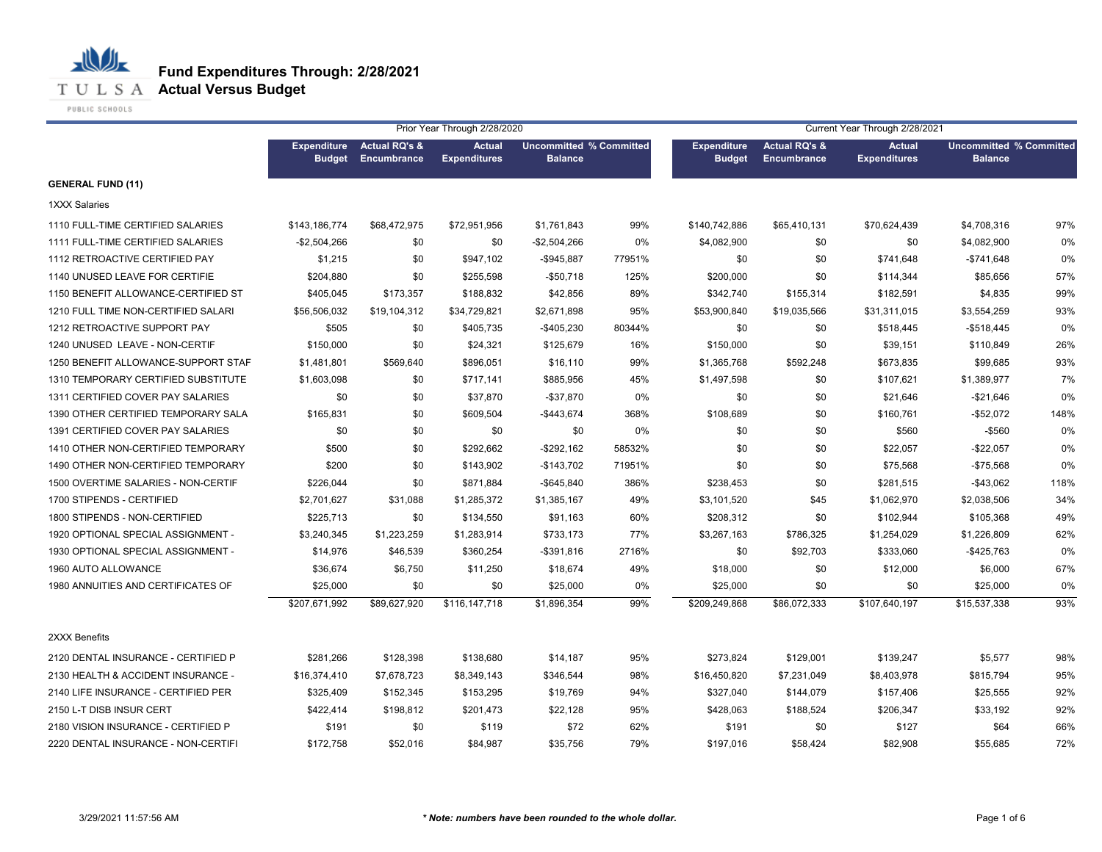

PUBLIC SCHOOLS

|                                     |                                     |                                                | Prior Year Through 2/28/2020         |                                                  |        | Current Year Through 2/28/2021      |                                         |                                      |                                                  |      |  |
|-------------------------------------|-------------------------------------|------------------------------------------------|--------------------------------------|--------------------------------------------------|--------|-------------------------------------|-----------------------------------------|--------------------------------------|--------------------------------------------------|------|--|
|                                     | <b>Expenditure</b><br><b>Budget</b> | <b>Actual RQ's &amp;</b><br><b>Encumbrance</b> | <b>Actual</b><br><b>Expenditures</b> | <b>Uncommitted % Committed</b><br><b>Balance</b> |        | <b>Expenditure</b><br><b>Budget</b> | <b>Actual RQ's &amp;</b><br>Encumbrance | <b>Actual</b><br><b>Expenditures</b> | <b>Uncommitted % Committed</b><br><b>Balance</b> |      |  |
| <b>GENERAL FUND (11)</b>            |                                     |                                                |                                      |                                                  |        |                                     |                                         |                                      |                                                  |      |  |
| <b>1XXX Salaries</b>                |                                     |                                                |                                      |                                                  |        |                                     |                                         |                                      |                                                  |      |  |
| 1110 FULL-TIME CERTIFIED SALARIES   | \$143,186,774                       | \$68,472,975                                   | \$72,951,956                         | \$1,761,843                                      | 99%    | \$140,742,886                       | \$65,410,131                            | \$70,624,439                         | \$4,708,316                                      | 97%  |  |
| 1111 FULL-TIME CERTIFIED SALARIES   | -\$2,504,266                        | \$0                                            | \$0                                  | $-$2,504,266$                                    | 0%     | \$4,082,900                         | \$0                                     | \$0                                  | \$4,082,900                                      | 0%   |  |
| 1112 RETROACTIVE CERTIFIED PAY      | \$1,215                             | \$0                                            | \$947,102                            | -\$945,887                                       | 77951% | \$0                                 | \$0                                     | \$741,648                            | -\$741,648                                       | 0%   |  |
| 1140 UNUSED LEAVE FOR CERTIFIE      | \$204,880                           | \$0                                            | \$255,598                            | $-$50,718$                                       | 125%   | \$200,000                           | \$0                                     | \$114,344                            | \$85,656                                         | 57%  |  |
| 1150 BENEFIT ALLOWANCE-CERTIFIED ST | \$405,045                           | \$173,357                                      | \$188,832                            | \$42,856                                         | 89%    | \$342,740                           | \$155,314                               | \$182,591                            | \$4,835                                          | 99%  |  |
| 1210 FULL TIME NON-CERTIFIED SALARI | \$56,506,032                        | \$19,104,312                                   | \$34,729,821                         | \$2,671,898                                      | 95%    | \$53,900,840                        | \$19,035,566                            | \$31,311,015                         | \$3,554,259                                      | 93%  |  |
| 1212 RETROACTIVE SUPPORT PAY        | \$505                               | \$0                                            | \$405,735                            | $-$405,230$                                      | 80344% | \$0                                 | \$0                                     | \$518,445                            | $-$ \$518,445                                    | 0%   |  |
| 1240 UNUSED LEAVE - NON-CERTIF      | \$150,000                           | \$0                                            | \$24,321                             | \$125,679                                        | 16%    | \$150,000                           | \$0                                     | \$39,151                             | \$110,849                                        | 26%  |  |
| 1250 BENEFIT ALLOWANCE-SUPPORT STAF | \$1,481,801                         | \$569,640                                      | \$896,051                            | \$16,110                                         | 99%    | \$1,365,768                         | \$592,248                               | \$673,835                            | \$99,685                                         | 93%  |  |
| 1310 TEMPORARY CERTIFIED SUBSTITUTE | \$1,603,098                         | \$0                                            | \$717,141                            | \$885,956                                        | 45%    | \$1,497,598                         | \$0                                     | \$107,621                            | \$1,389,977                                      | 7%   |  |
| 1311 CERTIFIED COVER PAY SALARIES   | \$0                                 | \$0                                            | \$37,870                             | $-$37,870$                                       | 0%     | \$0                                 | \$0                                     | \$21,646                             | $-$21,646$                                       | 0%   |  |
| 1390 OTHER CERTIFIED TEMPORARY SALA | \$165,831                           | \$0                                            | \$609,504                            | -\$443,674                                       | 368%   | \$108,689                           | \$0                                     | \$160,761                            | -\$52,072                                        | 148% |  |
| 1391 CERTIFIED COVER PAY SALARIES   | \$0                                 | \$0                                            | \$0                                  | \$0                                              | 0%     | \$0                                 | \$0                                     | \$560                                | $-$ \$560                                        | 0%   |  |
| 1410 OTHER NON-CERTIFIED TEMPORARY  | \$500                               | \$0                                            | \$292,662                            | -\$292,162                                       | 58532% | \$0                                 | \$0                                     | \$22,057                             | $-$ \$22,057                                     | 0%   |  |
| 1490 OTHER NON-CERTIFIED TEMPORARY  | \$200                               | \$0                                            | \$143,902                            | $-$143,702$                                      | 71951% | \$0                                 | \$0                                     | \$75,568                             | $-$75,568$                                       | 0%   |  |
| 1500 OVERTIME SALARIES - NON-CERTIF | \$226,044                           | \$0                                            | \$871,884                            | $-$645,840$                                      | 386%   | \$238,453                           | \$0                                     | \$281,515                            | $-$ \$43,062                                     | 118% |  |
| 1700 STIPENDS - CERTIFIED           | \$2,701,627                         | \$31,088                                       | \$1,285,372                          | \$1,385,167                                      | 49%    | \$3,101,520                         | \$45                                    | \$1,062,970                          | \$2,038,506                                      | 34%  |  |
| 1800 STIPENDS - NON-CERTIFIED       | \$225,713                           | \$0                                            | \$134,550                            | \$91,163                                         | 60%    | \$208,312                           | \$0                                     | \$102,944                            | \$105,368                                        | 49%  |  |
| 1920 OPTIONAL SPECIAL ASSIGNMENT -  | \$3,240,345                         | \$1,223,259                                    | \$1,283,914                          | \$733,173                                        | 77%    | \$3,267,163                         | \$786,325                               | \$1,254,029                          | \$1,226,809                                      | 62%  |  |
| 1930 OPTIONAL SPECIAL ASSIGNMENT -  | \$14,976                            | \$46,539                                       | \$360,254                            | $-$ \$391,816                                    | 2716%  | \$0                                 | \$92,703                                | \$333,060                            | $-$425,763$                                      | 0%   |  |
| 1960 AUTO ALLOWANCE                 | \$36,674                            | \$6,750                                        | \$11,250                             | \$18,674                                         | 49%    | \$18,000                            | \$0                                     | \$12,000                             | \$6,000                                          | 67%  |  |
| 1980 ANNUITIES AND CERTIFICATES OF  | \$25,000                            | \$0                                            | \$0                                  | \$25,000                                         | 0%     | \$25,000                            | \$0                                     | \$0                                  | \$25,000                                         | 0%   |  |
|                                     | \$207,671,992                       | \$89,627,920                                   | \$116,147,718                        | \$1,896,354                                      | 99%    | \$209,249,868                       | \$86,072,333                            | \$107,640,197                        | \$15,537,338                                     | 93%  |  |
| 2XXX Benefits                       |                                     |                                                |                                      |                                                  |        |                                     |                                         |                                      |                                                  |      |  |
| 2120 DENTAL INSURANCE - CERTIFIED P | \$281,266                           | \$128,398                                      | \$138,680                            | \$14,187                                         | 95%    | \$273,824                           | \$129,001                               | \$139,247                            | \$5,577                                          | 98%  |  |
| 2130 HEALTH & ACCIDENT INSURANCE -  | \$16,374,410                        | \$7,678,723                                    | \$8,349,143                          | \$346,544                                        | 98%    | \$16,450,820                        | \$7,231,049                             | \$8,403,978                          | \$815,794                                        | 95%  |  |
| 2140 LIFE INSURANCE - CERTIFIED PER | \$325,409                           | \$152,345                                      | \$153,295                            | \$19,769                                         | 94%    | \$327,040                           | \$144,079                               | \$157,406                            | \$25,555                                         | 92%  |  |
| 2150 L-T DISB INSUR CERT            | \$422,414                           | \$198,812                                      | \$201,473                            | \$22,128                                         | 95%    | \$428,063                           | \$188,524                               | \$206,347                            | \$33,192                                         | 92%  |  |
| 2180 VISION INSURANCE - CERTIFIED P | \$191                               | \$0                                            | \$119                                | \$72                                             | 62%    | \$191                               | \$0                                     | \$127                                | \$64                                             | 66%  |  |
| 2220 DENTAL INSURANCE - NON-CERTIFI | \$172,758                           | \$52,016                                       | \$84,987                             | \$35,756                                         | 79%    | \$197,016                           | \$58,424                                | \$82,908                             | \$55,685                                         | 72%  |  |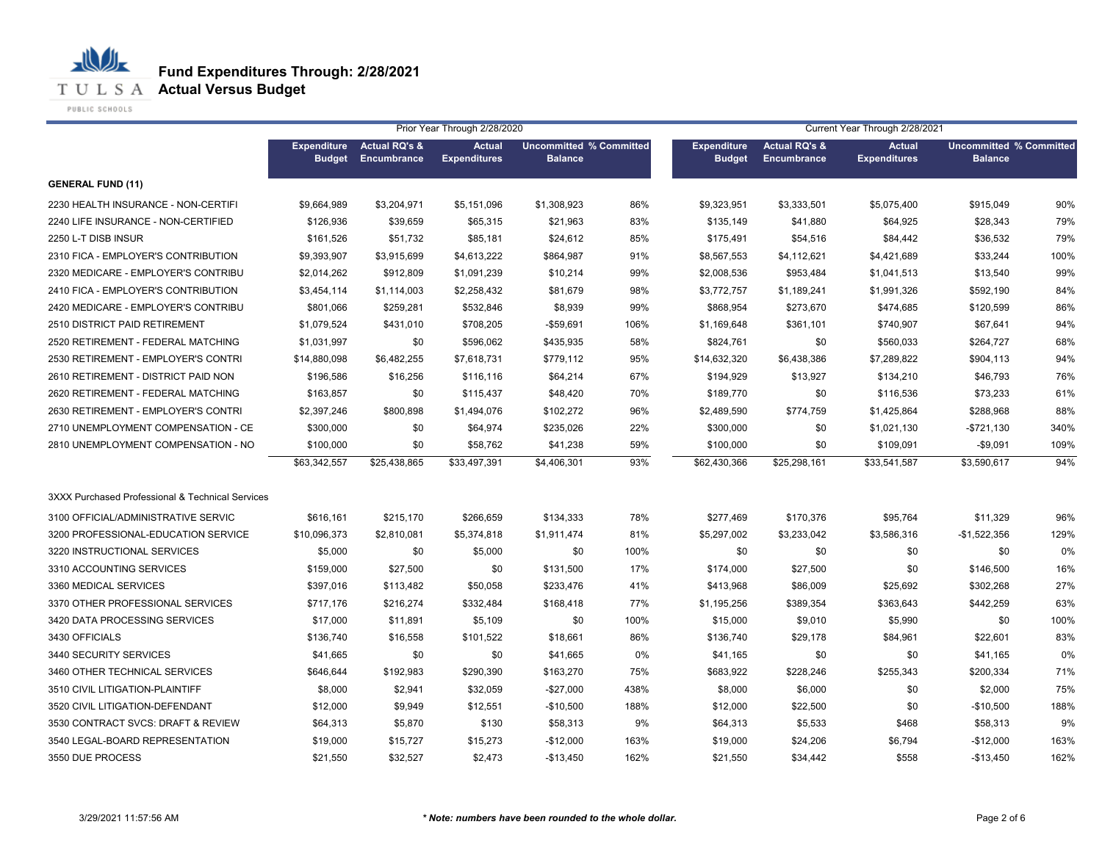**Fund Expenditures Through: 2/28/2021**

**T U L S A Actual Versus Budget** 

PUBLIC SCHOOLS

|                                                  |                                     |                                                | Prior Year Through 2/28/2020         |                                                  |      | Current Year Through 2/28/2021      |                                                |                                      |                                                  |      |  |
|--------------------------------------------------|-------------------------------------|------------------------------------------------|--------------------------------------|--------------------------------------------------|------|-------------------------------------|------------------------------------------------|--------------------------------------|--------------------------------------------------|------|--|
|                                                  | <b>Expenditure</b><br><b>Budget</b> | <b>Actual RQ's &amp;</b><br><b>Encumbrance</b> | <b>Actual</b><br><b>Expenditures</b> | <b>Uncommitted % Committed</b><br><b>Balance</b> |      | <b>Expenditure</b><br><b>Budget</b> | <b>Actual RQ's &amp;</b><br><b>Encumbrance</b> | <b>Actual</b><br><b>Expenditures</b> | <b>Uncommitted % Committed</b><br><b>Balance</b> |      |  |
| <b>GENERAL FUND (11)</b>                         |                                     |                                                |                                      |                                                  |      |                                     |                                                |                                      |                                                  |      |  |
| 2230 HEALTH INSURANCE - NON-CERTIFI              | \$9,664,989                         | \$3,204,971                                    | \$5,151,096                          | \$1,308,923                                      | 86%  | \$9,323,951                         | \$3,333,501                                    | \$5,075,400                          | \$915,049                                        | 90%  |  |
| 2240 LIFE INSURANCE - NON-CERTIFIED              | \$126,936                           | \$39,659                                       | \$65,315                             | \$21,963                                         | 83%  | \$135,149                           | \$41,880                                       | \$64,925                             | \$28,343                                         | 79%  |  |
| 2250 L-T DISB INSUR                              | \$161,526                           | \$51,732                                       | \$85,181                             | \$24,612                                         | 85%  | \$175,491                           | \$54,516                                       | \$84,442                             | \$36,532                                         | 79%  |  |
| 2310 FICA - EMPLOYER'S CONTRIBUTION              | \$9,393,907                         | \$3,915,699                                    | \$4,613,222                          | \$864,987                                        | 91%  | \$8,567,553                         | \$4,112,621                                    | \$4,421,689                          | \$33,244                                         | 100% |  |
| 2320 MEDICARE - EMPLOYER'S CONTRIBU              | \$2,014,262                         | \$912,809                                      | \$1,091,239                          | \$10,214                                         | 99%  | \$2,008,536                         | \$953,484                                      | \$1,041,513                          | \$13,540                                         | 99%  |  |
| 2410 FICA - EMPLOYER'S CONTRIBUTION              | \$3,454,114                         | \$1,114,003                                    | \$2,258,432                          | \$81,679                                         | 98%  | \$3,772,757                         | \$1,189,241                                    | \$1,991,326                          | \$592,190                                        | 84%  |  |
| 2420 MEDICARE - EMPLOYER'S CONTRIBU              | \$801.066                           | \$259,281                                      | \$532,846                            | \$8,939                                          | 99%  | \$868,954                           | \$273,670                                      | \$474,685                            | \$120,599                                        | 86%  |  |
| 2510 DISTRICT PAID RETIREMENT                    | \$1,079,524                         | \$431,010                                      | \$708,205                            | $-$59,691$                                       | 106% | \$1,169,648                         | \$361,101                                      | \$740,907                            | \$67,641                                         | 94%  |  |
| 2520 RETIREMENT - FEDERAL MATCHING               | \$1,031,997                         | \$0                                            | \$596,062                            | \$435,935                                        | 58%  | \$824,761                           | \$0                                            | \$560,033                            | \$264,727                                        | 68%  |  |
| 2530 RETIREMENT - EMPLOYER'S CONTRI              | \$14,880,098                        | \$6,482,255                                    | \$7,618,731                          | \$779,112                                        | 95%  | \$14,632,320                        | \$6,438,386                                    | \$7,289,822                          | \$904,113                                        | 94%  |  |
| 2610 RETIREMENT - DISTRICT PAID NON              | \$196,586                           | \$16,256                                       | \$116,116                            | \$64,214                                         | 67%  | \$194,929                           | \$13,927                                       | \$134,210                            | \$46,793                                         | 76%  |  |
| 2620 RETIREMENT - FEDERAL MATCHING               | \$163,857                           | \$0                                            | \$115,437                            | \$48,420                                         | 70%  | \$189,770                           | \$0                                            | \$116,536                            | \$73,233                                         | 61%  |  |
| 2630 RETIREMENT - EMPLOYER'S CONTRI              | \$2,397,246                         | \$800,898                                      | \$1,494,076                          | \$102,272                                        | 96%  | \$2,489,590                         | \$774,759                                      | \$1,425,864                          | \$288,968                                        | 88%  |  |
| 2710 UNEMPLOYMENT COMPENSATION - CE              | \$300,000                           | \$0                                            | \$64,974                             | \$235,026                                        | 22%  | \$300,000                           | \$0                                            | \$1,021,130                          | $-$721,130$                                      | 340% |  |
| 2810 UNEMPLOYMENT COMPENSATION - NO              | \$100,000                           | \$0                                            | \$58,762                             | \$41,238                                         | 59%  | \$100,000                           | \$0                                            | \$109,091                            | $-$ \$9,091                                      | 109% |  |
|                                                  | \$63,342,557                        | \$25,438,865                                   | \$33,497,391                         | \$4,406,301                                      | 93%  | \$62,430,366                        | \$25,298,161                                   | \$33,541,587                         | \$3,590,617                                      | 94%  |  |
| 3XXX Purchased Professional & Technical Services |                                     |                                                |                                      |                                                  |      |                                     |                                                |                                      |                                                  |      |  |
| 3100 OFFICIAL/ADMINISTRATIVE SERVIC              | \$616,161                           | \$215,170                                      | \$266,659                            | \$134,333                                        | 78%  | \$277,469                           | \$170,376                                      | \$95,764                             | \$11,329                                         | 96%  |  |
| 3200 PROFESSIONAL-EDUCATION SERVICE              | \$10,096,373                        | \$2,810,081                                    | \$5,374,818                          | \$1,911,474                                      | 81%  | \$5,297,002                         | \$3,233,042                                    | \$3,586,316                          | $-$1,522,356$                                    | 129% |  |
| 3220 INSTRUCTIONAL SERVICES                      | \$5,000                             | \$0                                            | \$5,000                              | \$0                                              | 100% | \$0                                 | \$0                                            | \$0                                  | \$0                                              | 0%   |  |
| 3310 ACCOUNTING SERVICES                         | \$159,000                           | \$27,500                                       | \$0                                  | \$131,500                                        | 17%  | \$174,000                           | \$27,500                                       | \$0                                  | \$146,500                                        | 16%  |  |
| 3360 MEDICAL SERVICES                            | \$397,016                           | \$113,482                                      | \$50,058                             | \$233,476                                        | 41%  | \$413,968                           | \$86,009                                       | \$25,692                             | \$302,268                                        | 27%  |  |
| 3370 OTHER PROFESSIONAL SERVICES                 | \$717,176                           | \$216,274                                      | \$332,484                            | \$168,418                                        | 77%  | \$1,195,256                         | \$389,354                                      | \$363,643                            | \$442,259                                        | 63%  |  |
| 3420 DATA PROCESSING SERVICES                    | \$17,000                            | \$11,891                                       | \$5,109                              | \$0                                              | 100% | \$15,000                            | \$9,010                                        | \$5,990                              | \$0                                              | 100% |  |
| 3430 OFFICIALS                                   | \$136,740                           | \$16,558                                       | \$101,522                            | \$18,661                                         | 86%  | \$136,740                           | \$29,178                                       | \$84,961                             | \$22,601                                         | 83%  |  |
| 3440 SECURITY SERVICES                           | \$41,665                            | \$0                                            | \$0                                  | \$41,665                                         | 0%   | \$41,165                            | \$0                                            | \$0                                  | \$41,165                                         | 0%   |  |
| 3460 OTHER TECHNICAL SERVICES                    | \$646,644                           | \$192,983                                      | \$290,390                            | \$163,270                                        | 75%  | \$683,922                           | \$228,246                                      | \$255,343                            | \$200,334                                        | 71%  |  |
| 3510 CIVIL LITIGATION-PLAINTIFF                  | \$8,000                             | \$2,941                                        | \$32,059                             | $-$27,000$                                       | 438% | \$8,000                             | \$6,000                                        | \$0                                  | \$2,000                                          | 75%  |  |
| 3520 CIVIL LITIGATION-DEFENDANT                  | \$12,000                            | \$9,949                                        | \$12,551                             | $-$10,500$                                       | 188% | \$12,000                            | \$22,500                                       | \$0                                  | $-$10,500$                                       | 188% |  |
| 3530 CONTRACT SVCS: DRAFT & REVIEW               | \$64,313                            | \$5,870                                        | \$130                                | \$58,313                                         | 9%   | \$64,313                            | \$5,533                                        | \$468                                | \$58,313                                         | 9%   |  |
| 3540 LEGAL-BOARD REPRESENTATION                  | \$19,000                            | \$15,727                                       | \$15,273                             | $-$12,000$                                       | 163% | \$19,000                            | \$24,206                                       | \$6,794                              | $-$12,000$                                       | 163% |  |
| 3550 DUE PROCESS                                 | \$21,550                            | \$32,527                                       | \$2,473                              | $-$13,450$                                       | 162% | \$21,550                            | \$34,442                                       | \$558                                | $-$13,450$                                       | 162% |  |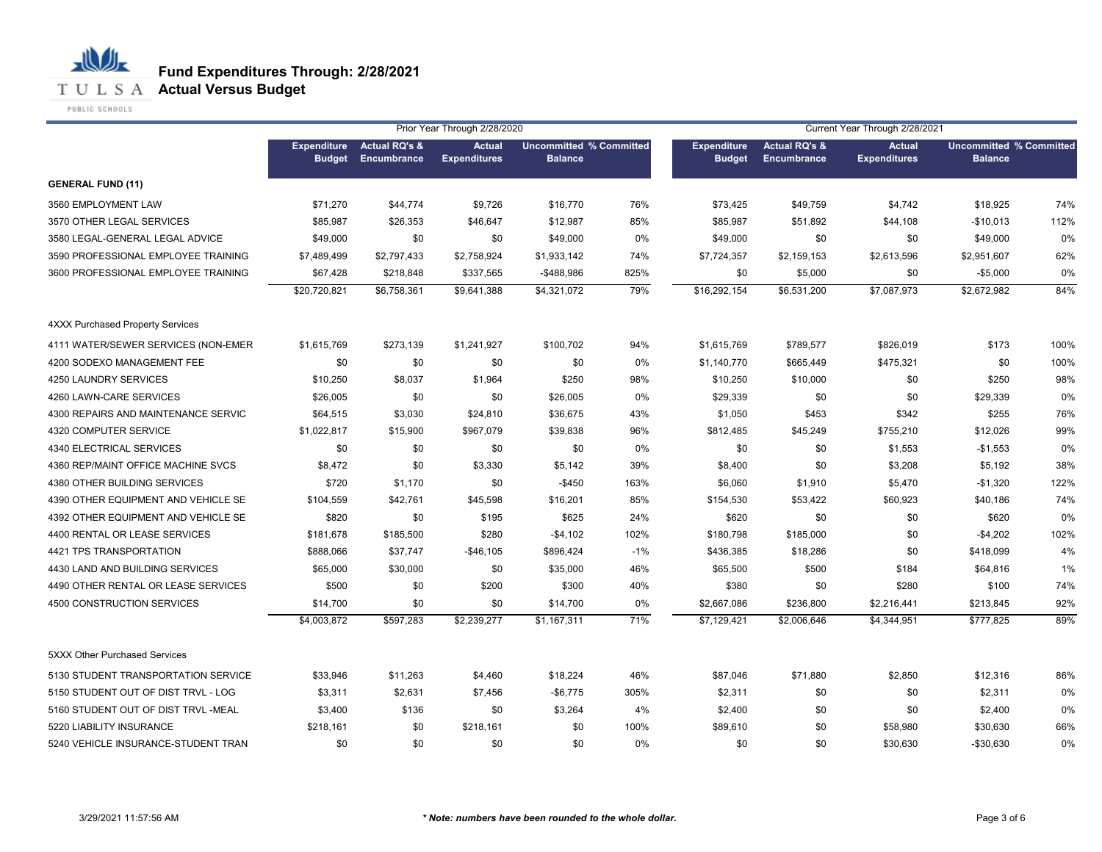## **Fund Expenditures Through: 2/28/2021**

**T U L S A Actual Versus Budget** 

PUBLIC SCHOOLS

|                                         |                                     |                                         | Prior Year Through 2/28/2020         |                                                  |       |                                     |                                                | Current Year Through 2/28/2021       |                                                  |      |
|-----------------------------------------|-------------------------------------|-----------------------------------------|--------------------------------------|--------------------------------------------------|-------|-------------------------------------|------------------------------------------------|--------------------------------------|--------------------------------------------------|------|
|                                         | <b>Expenditure</b><br><b>Budget</b> | <b>Actual RQ's &amp;</b><br>Encumbrance | <b>Actual</b><br><b>Expenditures</b> | <b>Uncommitted % Committed</b><br><b>Balance</b> |       | <b>Expenditure</b><br><b>Budget</b> | <b>Actual RQ's &amp;</b><br><b>Encumbrance</b> | <b>Actual</b><br><b>Expenditures</b> | <b>Uncommitted % Committed</b><br><b>Balance</b> |      |
| <b>GENERAL FUND (11)</b>                |                                     |                                         |                                      |                                                  |       |                                     |                                                |                                      |                                                  |      |
| 3560 EMPLOYMENT LAW                     | \$71,270                            | \$44,774                                | \$9,726                              | \$16,770                                         | 76%   | \$73,425                            | \$49,759                                       | \$4,742                              | \$18,925                                         | 74%  |
| 3570 OTHER LEGAL SERVICES               | \$85,987                            | \$26,353                                | \$46,647                             | \$12,987                                         | 85%   | \$85,987                            | \$51,892                                       | \$44,108                             | $-$10,013$                                       | 112% |
| 3580 LEGAL-GENERAL LEGAL ADVICE         | \$49,000                            | \$0                                     | \$0                                  | \$49,000                                         | 0%    | \$49,000                            | \$0                                            | \$0                                  | \$49,000                                         | 0%   |
| 3590 PROFESSIONAL EMPLOYEE TRAINING     | \$7,489,499                         | \$2,797,433                             | \$2,758,924                          | \$1,933,142                                      | 74%   | \$7,724,357                         | \$2,159,153                                    | \$2,613,596                          | \$2,951,607                                      | 62%  |
| 3600 PROFESSIONAL EMPLOYEE TRAINING     | \$67,428                            | \$218,848                               | \$337,565                            | $-$ \$488,986                                    | 825%  | \$0                                 | \$5,000                                        | \$0                                  | $-$5,000$                                        | 0%   |
|                                         | \$20,720,821                        | \$6,758,361                             | \$9,641,388                          | \$4,321,072                                      | 79%   | \$16,292,154                        | \$6,531,200                                    | \$7,087,973                          | \$2,672,982                                      | 84%  |
| <b>4XXX Purchased Property Services</b> |                                     |                                         |                                      |                                                  |       |                                     |                                                |                                      |                                                  |      |
| 4111 WATER/SEWER SERVICES (NON-EMER     | \$1,615,769                         | \$273,139                               | \$1,241,927                          | \$100,702                                        | 94%   | \$1,615,769                         | \$789,577                                      | \$826,019                            | \$173                                            | 100% |
| 4200 SODEXO MANAGEMENT FEE              | \$0                                 | \$0                                     | \$0                                  | \$0                                              | 0%    | \$1,140,770                         | \$665,449                                      | \$475,321                            | \$0                                              | 100% |
| 4250 LAUNDRY SERVICES                   | \$10,250                            | \$8,037                                 | \$1,964                              | \$250                                            | 98%   | \$10,250                            | \$10,000                                       | \$0                                  | \$250                                            | 98%  |
| 4260 LAWN-CARE SERVICES                 | \$26,005                            | \$0                                     | \$0                                  | \$26,005                                         | 0%    | \$29,339                            | \$0                                            | \$0                                  | \$29,339                                         | 0%   |
| 4300 REPAIRS AND MAINTENANCE SERVIC     | \$64,515                            | \$3,030                                 | \$24,810                             | \$36,675                                         | 43%   | \$1,050                             | \$453                                          | \$342                                | \$255                                            | 76%  |
| <b>4320 COMPUTER SERVICE</b>            | \$1,022,817                         | \$15,900                                | \$967,079                            | \$39,838                                         | 96%   | \$812,485                           | \$45,249                                       | \$755,210                            | \$12,026                                         | 99%  |
| 4340 ELECTRICAL SERVICES                | \$0                                 | \$0                                     | \$0                                  | \$0                                              | 0%    | \$0                                 | \$0                                            | \$1,553                              | $-$1,553$                                        | 0%   |
| 4360 REP/MAINT OFFICE MACHINE SVCS      | \$8,472                             | \$0                                     | \$3,330                              | \$5,142                                          | 39%   | \$8,400                             | \$0                                            | \$3,208                              | \$5,192                                          | 38%  |
| 4380 OTHER BUILDING SERVICES            | \$720                               | \$1,170                                 | \$0                                  | $-$ \$450                                        | 163%  | \$6,060                             | \$1,910                                        | \$5,470                              | $-$1,320$                                        | 122% |
| 4390 OTHER EQUIPMENT AND VEHICLE SE     | \$104,559                           | \$42,761                                | \$45,598                             | \$16,201                                         | 85%   | \$154,530                           | \$53,422                                       | \$60,923                             | \$40,186                                         | 74%  |
| 4392 OTHER EQUIPMENT AND VEHICLE SE     | \$820                               | \$0                                     | \$195                                | \$625                                            | 24%   | \$620                               | \$0                                            | \$0                                  | \$620                                            | 0%   |
| 4400 RENTAL OR LEASE SERVICES           | \$181,678                           | \$185,500                               | \$280                                | $-$4,102$                                        | 102%  | \$180,798                           | \$185,000                                      | \$0                                  | $-$4,202$                                        | 102% |
| 4421 TPS TRANSPORTATION                 | \$888,066                           | \$37,747                                | $-$46,105$                           | \$896,424                                        | $-1%$ | \$436,385                           | \$18,286                                       | \$0                                  | \$418,099                                        | 4%   |
| 4430 LAND AND BUILDING SERVICES         | \$65,000                            | \$30,000                                | \$0                                  | \$35,000                                         | 46%   | \$65,500                            | \$500                                          | \$184                                | \$64,816                                         | 1%   |
| 4490 OTHER RENTAL OR LEASE SERVICES     | \$500                               | \$0                                     | \$200                                | \$300                                            | 40%   | \$380                               | \$0                                            | \$280                                | \$100                                            | 74%  |
| 4500 CONSTRUCTION SERVICES              | \$14,700                            | \$0                                     | \$0                                  | \$14,700                                         | 0%    | \$2,667,086                         | \$236,800                                      | \$2,216,441                          | \$213,845                                        | 92%  |
|                                         | \$4,003,872                         | \$597,283                               | \$2,239,277                          | \$1,167,311                                      | 71%   | \$7,129,421                         | \$2,006,646                                    | \$4,344,951                          | \$777,825                                        | 89%  |
| 5XXX Other Purchased Services           |                                     |                                         |                                      |                                                  |       |                                     |                                                |                                      |                                                  |      |
| 5130 STUDENT TRANSPORTATION SERVICE     | \$33,946                            | \$11,263                                | \$4,460                              | \$18,224                                         | 46%   | \$87,046                            | \$71,880                                       | \$2,850                              | \$12,316                                         | 86%  |
| 5150 STUDENT OUT OF DIST TRVL - LOG     | \$3,311                             | \$2,631                                 | \$7,456                              | $-$6,775$                                        | 305%  | \$2,311                             | \$0                                            | \$0                                  | \$2,311                                          | 0%   |
| 5160 STUDENT OUT OF DIST TRVL -MEAL     | \$3,400                             | \$136                                   | \$0                                  | \$3,264                                          | 4%    | \$2,400                             | \$0                                            | \$0                                  | \$2,400                                          | 0%   |
| 5220 LIABILITY INSURANCE                | \$218,161                           | \$0                                     | \$218,161                            | \$0                                              | 100%  | \$89,610                            | \$0                                            | \$58,980                             | \$30,630                                         | 66%  |
| 5240 VEHICLE INSURANCE-STUDENT TRAN     | \$0                                 | \$0                                     | \$0                                  | \$0                                              | 0%    | \$0                                 | \$0                                            | \$30,630                             | $-$30,630$                                       | 0%   |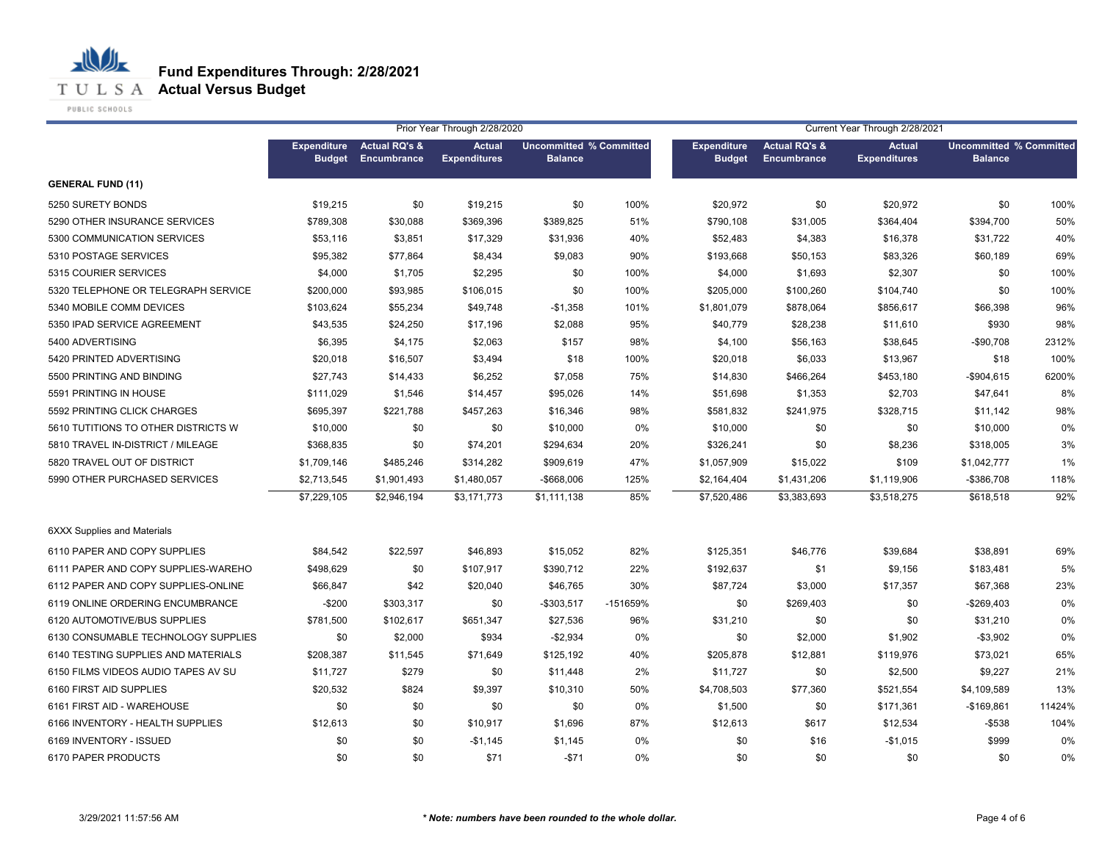

PUBLIC SCHOOLS

|                                     |                    |                          | Prior Year Through 2/28/2020 |                                |          | Current Year Through 2/28/2021 |                          |                     |                                |        |  |
|-------------------------------------|--------------------|--------------------------|------------------------------|--------------------------------|----------|--------------------------------|--------------------------|---------------------|--------------------------------|--------|--|
|                                     | <b>Expenditure</b> | <b>Actual RQ's &amp;</b> | <b>Actual</b>                | <b>Uncommitted % Committed</b> |          | <b>Expenditure</b>             | <b>Actual RQ's &amp;</b> | <b>Actual</b>       | <b>Uncommitted % Committed</b> |        |  |
|                                     | <b>Budget</b>      | Encumbrance              | <b>Expenditures</b>          | <b>Balance</b>                 |          | <b>Budget</b>                  | Encumbrance              | <b>Expenditures</b> | <b>Balance</b>                 |        |  |
| <b>GENERAL FUND (11)</b>            |                    |                          |                              |                                |          |                                |                          |                     |                                |        |  |
| 5250 SURETY BONDS                   | \$19,215           | \$0                      | \$19,215                     | \$0                            | 100%     | \$20,972                       | \$0                      | \$20,972            | \$0                            | 100%   |  |
| 5290 OTHER INSURANCE SERVICES       | \$789,308          | \$30,088                 | \$369,396                    | \$389,825                      | 51%      | \$790,108                      | \$31,005                 | \$364,404           | \$394,700                      | 50%    |  |
| 5300 COMMUNICATION SERVICES         | \$53,116           | \$3,851                  | \$17,329                     | \$31,936                       | 40%      | \$52,483                       | \$4,383                  | \$16,378            | \$31,722                       | 40%    |  |
| 5310 POSTAGE SERVICES               | \$95,382           | \$77,864                 | \$8,434                      | \$9,083                        | 90%      | \$193,668                      | \$50,153                 | \$83,326            | \$60,189                       | 69%    |  |
| 5315 COURIER SERVICES               | \$4,000            | \$1,705                  | \$2,295                      | \$0                            | 100%     | \$4,000                        | \$1,693                  | \$2,307             | \$0                            | 100%   |  |
| 5320 TELEPHONE OR TELEGRAPH SERVICE | \$200,000          | \$93,985                 | \$106,015                    | \$0                            | 100%     | \$205,000                      | \$100,260                | \$104,740           | \$0                            | 100%   |  |
| 5340 MOBILE COMM DEVICES            | \$103,624          | \$55,234                 | \$49,748                     | $-$1,358$                      | 101%     | \$1,801,079                    | \$878,064                | \$856,617           | \$66,398                       | 96%    |  |
| 5350 IPAD SERVICE AGREEMENT         | \$43,535           | \$24,250                 | \$17,196                     | \$2,088                        | 95%      | \$40,779                       | \$28,238                 | \$11,610            | \$930                          | 98%    |  |
| 5400 ADVERTISING                    | \$6,395            | \$4,175                  | \$2,063                      | \$157                          | 98%      | \$4,100                        | \$56,163                 | \$38,645            | $-$90,708$                     | 2312%  |  |
| 5420 PRINTED ADVERTISING            | \$20,018           | \$16,507                 | \$3,494                      | \$18                           | 100%     | \$20,018                       | \$6,033                  | \$13,967            | \$18                           | 100%   |  |
| 5500 PRINTING AND BINDING           | \$27,743           | \$14,433                 | \$6,252                      | \$7,058                        | 75%      | \$14,830                       | \$466,264                | \$453,180           | $-$904,615$                    | 6200%  |  |
| 5591 PRINTING IN HOUSE              | \$111,029          | \$1,546                  | \$14,457                     | \$95,026                       | 14%      | \$51,698                       | \$1,353                  | \$2,703             | \$47,641                       | 8%     |  |
| 5592 PRINTING CLICK CHARGES         | \$695,397          | \$221,788                | \$457,263                    | \$16,346                       | 98%      | \$581,832                      | \$241,975                | \$328,715           | \$11,142                       | 98%    |  |
| 5610 TUTITIONS TO OTHER DISTRICTS W | \$10,000           | \$0                      | \$0                          | \$10,000                       | 0%       | \$10,000                       | \$0                      | \$0                 | \$10,000                       | 0%     |  |
| 5810 TRAVEL IN-DISTRICT / MILEAGE   | \$368,835          | \$0                      | \$74,201                     | \$294,634                      | 20%      | \$326,241                      | \$0                      | \$8,236             | \$318,005                      | 3%     |  |
| 5820 TRAVEL OUT OF DISTRICT         | \$1,709,146        | \$485,246                | \$314,282                    | \$909,619                      | 47%      | \$1,057,909                    | \$15,022                 | \$109               | \$1,042,777                    | 1%     |  |
| 5990 OTHER PURCHASED SERVICES       | \$2,713,545        | \$1,901,493              | \$1,480,057                  | -\$668,006                     | 125%     | \$2,164,404                    | \$1,431,206              | \$1,119,906         | -\$386,708                     | 118%   |  |
|                                     | \$7,229,105        | \$2,946,194              | \$3,171,773                  | \$1,111,138                    | 85%      | \$7,520,486                    | \$3,383,693              | \$3,518,275         | \$618,518                      | 92%    |  |
| <b>6XXX Supplies and Materials</b>  |                    |                          |                              |                                |          |                                |                          |                     |                                |        |  |
| 6110 PAPER AND COPY SUPPLIES        | \$84,542           | \$22,597                 | \$46,893                     | \$15,052                       | 82%      | \$125,351                      | \$46,776                 | \$39,684            | \$38,891                       | 69%    |  |
| 6111 PAPER AND COPY SUPPLIES-WAREHO | \$498,629          | \$0                      | \$107,917                    | \$390,712                      | 22%      | \$192,637                      | \$1                      | \$9,156             | \$183,481                      | 5%     |  |
| 6112 PAPER AND COPY SUPPLIES-ONLINE | \$66,847           | \$42                     | \$20,040                     | \$46,765                       | 30%      | \$87,724                       | \$3,000                  | \$17,357            | \$67,368                       | 23%    |  |
| 6119 ONLINE ORDERING ENCUMBRANCE    | $-$200$            | \$303,317                | \$0                          | $-$303,517$                    | -151659% | \$0                            | \$269,403                | \$0                 | $-$269,403$                    | 0%     |  |
| 6120 AUTOMOTIVE/BUS SUPPLIES        | \$781,500          | \$102,617                | \$651,347                    | \$27,536                       | 96%      | \$31,210                       | \$0                      | \$0                 | \$31,210                       | 0%     |  |
| 6130 CONSUMABLE TECHNOLOGY SUPPLIES | \$0                | \$2,000                  | \$934                        | $-$2,934$                      | 0%       | \$0                            | \$2,000                  | \$1,902             | $-$3,902$                      | 0%     |  |
| 6140 TESTING SUPPLIES AND MATERIALS | \$208,387          | \$11,545                 | \$71,649                     | \$125,192                      | 40%      | \$205,878                      | \$12,881                 | \$119,976           | \$73,021                       | 65%    |  |
| 6150 FILMS VIDEOS AUDIO TAPES AV SU | \$11,727           | \$279                    | \$0                          | \$11,448                       | 2%       | \$11,727                       | \$0                      | \$2,500             | \$9,227                        | 21%    |  |
| 6160 FIRST AID SUPPLIES             | \$20,532           | \$824                    | \$9,397                      | \$10,310                       | 50%      | \$4,708,503                    | \$77,360                 | \$521,554           | \$4,109,589                    | 13%    |  |
| 6161 FIRST AID - WAREHOUSE          | \$0                | \$0                      | \$0                          | \$0                            | 0%       | \$1,500                        | \$0                      | \$171,361           | $-$169,861$                    | 11424% |  |
| 6166 INVENTORY - HEALTH SUPPLIES    | \$12,613           | \$0                      | \$10,917                     | \$1,696                        | 87%      | \$12,613                       | \$617                    | \$12,534            | $-$ \$538                      | 104%   |  |
| 6169 INVENTORY - ISSUED             | \$0                | \$0                      | $-$1,145$                    | \$1,145                        | 0%       | \$0                            | \$16                     | $-$1,015$           | \$999                          | 0%     |  |
| 6170 PAPER PRODUCTS                 | \$0                | \$0                      | \$71                         | $-$71$                         | 0%       | \$0                            | \$0                      | \$0                 | \$0                            | 0%     |  |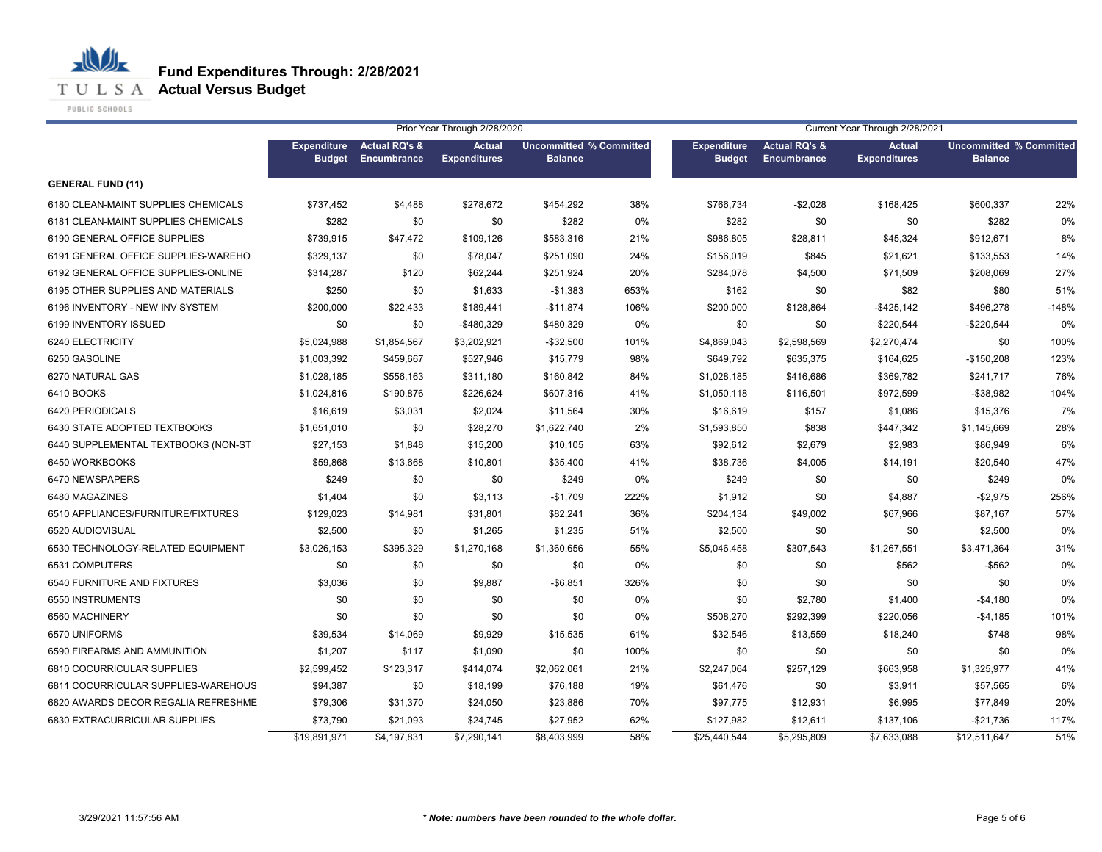

PUBLIC SCHOOLS

|                                     |                                     |                                         | Prior Year Through 2/28/2020         |                                                  |       | Current Year Through 2/28/2021      |                                         |                                      |                                                  |         |
|-------------------------------------|-------------------------------------|-----------------------------------------|--------------------------------------|--------------------------------------------------|-------|-------------------------------------|-----------------------------------------|--------------------------------------|--------------------------------------------------|---------|
|                                     | <b>Expenditure</b><br><b>Budget</b> | <b>Actual RQ's &amp;</b><br>Encumbrance | <b>Actual</b><br><b>Expenditures</b> | <b>Uncommitted % Committed</b><br><b>Balance</b> |       | <b>Expenditure</b><br><b>Budget</b> | <b>Actual RQ's &amp;</b><br>Encumbrance | <b>Actual</b><br><b>Expenditures</b> | <b>Uncommitted % Committed</b><br><b>Balance</b> |         |
| <b>GENERAL FUND (11)</b>            |                                     |                                         |                                      |                                                  |       |                                     |                                         |                                      |                                                  |         |
| 6180 CLEAN-MAINT SUPPLIES CHEMICALS | \$737,452                           | \$4,488                                 | \$278,672                            | \$454,292                                        | 38%   | \$766,734                           | $-$2,028$                               | \$168,425                            | \$600,337                                        | 22%     |
| 6181 CLEAN-MAINT SUPPLIES CHEMICALS | \$282                               | \$0                                     | \$0                                  | \$282                                            | $0\%$ | \$282                               | \$0                                     | \$0                                  | \$282                                            | 0%      |
| 6190 GENERAL OFFICE SUPPLIES        | \$739,915                           | \$47,472                                | \$109,126                            | \$583,316                                        | 21%   | \$986,805                           | \$28,811                                | \$45,324                             | \$912,671                                        | 8%      |
| 6191 GENERAL OFFICE SUPPLIES-WAREHO | \$329,137                           | \$0                                     | \$78,047                             | \$251,090                                        | 24%   | \$156,019                           | \$845                                   | \$21,621                             | \$133,553                                        | 14%     |
| 6192 GENERAL OFFICE SUPPLIES-ONLINE | \$314,287                           | \$120                                   | \$62,244                             | \$251,924                                        | 20%   | \$284,078                           | \$4,500                                 | \$71,509                             | \$208,069                                        | 27%     |
| 6195 OTHER SUPPLIES AND MATERIALS   | \$250                               | \$0                                     | \$1,633                              | $-$1,383$                                        | 653%  | \$162                               | \$0                                     | \$82                                 | \$80                                             | 51%     |
| 6196 INVENTORY - NEW INV SYSTEM     | \$200,000                           | \$22,433                                | \$189,441                            | $-$11,874$                                       | 106%  | \$200,000                           | \$128,864                               | $-$ \$425,142                        | \$496,278                                        | $-148%$ |
| 6199 INVENTORY ISSUED               | \$0                                 | \$0                                     | $-$480,329$                          | \$480,329                                        | 0%    | \$0                                 | \$0                                     | \$220,544                            | $-$220,544$                                      | 0%      |
| 6240 ELECTRICITY                    | \$5,024,988                         | \$1,854,567                             | \$3,202,921                          | $-$32,500$                                       | 101%  | \$4,869,043                         | \$2,598,569                             | \$2,270,474                          | \$0                                              | 100%    |
| 6250 GASOLINE                       | \$1,003,392                         | \$459,667                               | \$527,946                            | \$15,779                                         | 98%   | \$649,792                           | \$635,375                               | \$164,625                            | $-$150,208$                                      | 123%    |
| 6270 NATURAL GAS                    | \$1,028,185                         | \$556,163                               | \$311,180                            | \$160,842                                        | 84%   | \$1,028,185                         | \$416,686                               | \$369,782                            | \$241,717                                        | 76%     |
| 6410 BOOKS                          | \$1,024,816                         | \$190,876                               | \$226,624                            | \$607,316                                        | 41%   | \$1,050,118                         | \$116,501                               | \$972,599                            | $-$ \$38,982                                     | 104%    |
| 6420 PERIODICALS                    | \$16,619                            | \$3,031                                 | \$2,024                              | \$11,564                                         | 30%   | \$16,619                            | \$157                                   | \$1,086                              | \$15,376                                         | 7%      |
| 6430 STATE ADOPTED TEXTBOOKS        | \$1,651,010                         | \$0                                     | \$28,270                             | \$1,622,740                                      | 2%    | \$1,593,850                         | \$838                                   | \$447,342                            | \$1,145,669                                      | 28%     |
| 6440 SUPPLEMENTAL TEXTBOOKS (NON-ST | \$27,153                            | \$1,848                                 | \$15,200                             | \$10,105                                         | 63%   | \$92,612                            | \$2,679                                 | \$2,983                              | \$86,949                                         | 6%      |
| 6450 WORKBOOKS                      | \$59,868                            | \$13,668                                | \$10,801                             | \$35,400                                         | 41%   | \$38,736                            | \$4,005                                 | \$14,191                             | \$20,540                                         | 47%     |
| 6470 NEWSPAPERS                     | \$249                               | \$0                                     | \$0                                  | \$249                                            | 0%    | \$249                               | \$0                                     | \$0                                  | \$249                                            | 0%      |
| 6480 MAGAZINES                      | \$1,404                             | \$0                                     | \$3,113                              | $-$1,709$                                        | 222%  | \$1,912                             | \$0                                     | \$4,887                              | $-$2,975$                                        | 256%    |
| 6510 APPLIANCES/FURNITURE/FIXTURES  | \$129,023                           | \$14,981                                | \$31,801                             | \$82,241                                         | 36%   | \$204,134                           | \$49,002                                | \$67,966                             | \$87,167                                         | 57%     |
| 6520 AUDIOVISUAL                    | \$2,500                             | \$0                                     | \$1,265                              | \$1,235                                          | 51%   | \$2,500                             | \$0                                     | \$0                                  | \$2,500                                          | 0%      |
| 6530 TECHNOLOGY-RELATED EQUIPMENT   | \$3,026,153                         | \$395,329                               | \$1,270,168                          | \$1,360,656                                      | 55%   | \$5,046,458                         | \$307,543                               | \$1,267,551                          | \$3,471,364                                      | 31%     |
| 6531 COMPUTERS                      | \$0                                 | \$0                                     | \$0                                  | \$0                                              | 0%    | \$0                                 | \$0                                     | \$562                                | $-$ \$562                                        | 0%      |
| 6540 FURNITURE AND FIXTURES         | \$3,036                             | \$0                                     | \$9,887                              | $-$ \$6,851                                      | 326%  | \$0                                 | \$0                                     | \$0                                  | \$0                                              | 0%      |
| 6550 INSTRUMENTS                    | \$0                                 | \$0                                     | \$0                                  | \$0                                              | 0%    | \$0                                 | \$2,780                                 | \$1,400                              | $-$4,180$                                        | 0%      |
| 6560 MACHINERY                      | \$0                                 | \$0                                     | \$0                                  | \$0                                              | $0\%$ | \$508,270                           | \$292,399                               | \$220,056                            | $-$4,185$                                        | 101%    |
| 6570 UNIFORMS                       | \$39,534                            | \$14,069                                | \$9,929                              | \$15,535                                         | 61%   | \$32,546                            | \$13,559                                | \$18,240                             | \$748                                            | 98%     |
| 6590 FIREARMS AND AMMUNITION        | \$1,207                             | \$117                                   | \$1,090                              | \$0                                              | 100%  | \$0                                 | \$0                                     | \$0                                  | \$0                                              | 0%      |
| 6810 COCURRICULAR SUPPLIES          | \$2,599,452                         | \$123,317                               | \$414,074                            | \$2,062,061                                      | 21%   | \$2,247,064                         | \$257,129                               | \$663,958                            | \$1,325,977                                      | 41%     |
| 6811 COCURRICULAR SUPPLIES-WAREHOUS | \$94,387                            | \$0                                     | \$18,199                             | \$76,188                                         | 19%   | \$61,476                            | \$0                                     | \$3,911                              | \$57,565                                         | 6%      |
| 6820 AWARDS DECOR REGALIA REFRESHME | \$79,306                            | \$31,370                                | \$24,050                             | \$23,886                                         | 70%   | \$97,775                            | \$12,931                                | \$6,995                              | \$77,849                                         | 20%     |
| 6830 EXTRACURRICULAR SUPPLIES       | \$73,790                            | \$21,093                                | \$24,745                             | \$27,952                                         | 62%   | \$127,982                           | \$12,611                                | \$137,106                            | $-$21,736$                                       | 117%    |
|                                     | \$19,891,971                        | $\overline{4,197,831}$                  | $\overline{$7,290,141}$              | \$8,403,999                                      | 58%   | \$25,440,544                        | \$5,295,809                             | \$7,633,088                          | \$12,511,647                                     | 51%     |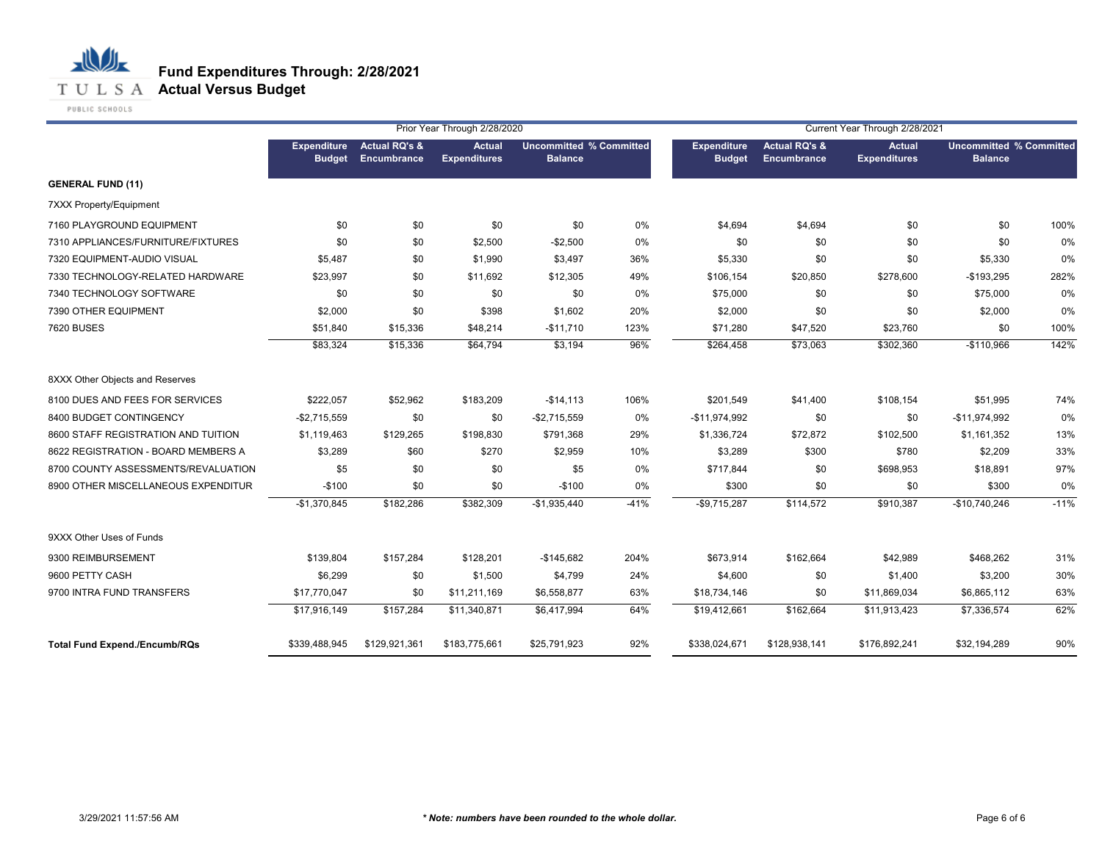

PUBLIC SCHOOLS

|                                      |                              |                                         | Prior Year Through 2/28/2020         |                                                  |        | Current Year Through 2/28/2021      |                                         |                                      |                                                  |        |  |
|--------------------------------------|------------------------------|-----------------------------------------|--------------------------------------|--------------------------------------------------|--------|-------------------------------------|-----------------------------------------|--------------------------------------|--------------------------------------------------|--------|--|
|                                      | Expenditure<br><b>Budget</b> | <b>Actual RQ's &amp;</b><br>Encumbrance | <b>Actual</b><br><b>Expenditures</b> | <b>Uncommitted % Committed</b><br><b>Balance</b> |        | <b>Expenditure</b><br><b>Budget</b> | <b>Actual RQ's &amp;</b><br>Encumbrance | <b>Actual</b><br><b>Expenditures</b> | <b>Uncommitted % Committed</b><br><b>Balance</b> |        |  |
| <b>GENERAL FUND (11)</b>             |                              |                                         |                                      |                                                  |        |                                     |                                         |                                      |                                                  |        |  |
| 7XXX Property/Equipment              |                              |                                         |                                      |                                                  |        |                                     |                                         |                                      |                                                  |        |  |
| 7160 PLAYGROUND EQUIPMENT            | \$0                          | \$0                                     | \$0                                  | \$0                                              | 0%     | \$4,694                             | \$4,694                                 | \$0                                  | \$0                                              | 100%   |  |
| 7310 APPLIANCES/FURNITURE/FIXTURES   | \$0                          | \$0                                     | \$2,500                              | $-$2,500$                                        | $0\%$  | \$0                                 | \$0                                     | \$0                                  | \$0                                              | 0%     |  |
| 7320 EQUIPMENT-AUDIO VISUAL          | \$5,487                      | \$0                                     | \$1,990                              | \$3,497                                          | 36%    | \$5,330                             | \$0                                     | \$0                                  | \$5,330                                          | 0%     |  |
| 7330 TECHNOLOGY-RELATED HARDWARE     | \$23,997                     | \$0                                     | \$11,692                             | \$12,305                                         | 49%    | \$106,154                           | \$20,850                                | \$278,600                            | $-$193,295$                                      | 282%   |  |
| 7340 TECHNOLOGY SOFTWARE             | \$0                          | \$0                                     | \$0                                  | \$0                                              | 0%     | \$75,000                            | \$0                                     | \$0                                  | \$75,000                                         | 0%     |  |
| 7390 OTHER EQUIPMENT                 | \$2,000                      | \$0                                     | \$398                                | \$1,602                                          | 20%    | \$2,000                             | \$0                                     | \$0                                  | \$2,000                                          | 0%     |  |
| 7620 BUSES                           | \$51,840                     | \$15,336                                | \$48,214                             | $-$11,710$                                       | 123%   | \$71,280                            | \$47,520                                | \$23,760                             | \$0                                              | 100%   |  |
|                                      | \$83,324                     | \$15,336                                | \$64,794                             | \$3,194                                          | 96%    | \$264,458                           | \$73,063                                | \$302,360                            | $-$110,966$                                      | 142%   |  |
| 8XXX Other Objects and Reserves      |                              |                                         |                                      |                                                  |        |                                     |                                         |                                      |                                                  |        |  |
| 8100 DUES AND FEES FOR SERVICES      | \$222,057                    | \$52,962                                | \$183,209                            | $-$14,113$                                       | 106%   | \$201,549                           | \$41,400                                | \$108,154                            | \$51,995                                         | 74%    |  |
| 8400 BUDGET CONTINGENCY              | $-$2,715,559$                | \$0                                     | \$0                                  | $-$2,715,559$                                    | $0\%$  | $-$11,974,992$                      | \$0                                     | \$0                                  | $-$11,974,992$                                   | 0%     |  |
| 8600 STAFF REGISTRATION AND TUITION  | \$1,119,463                  | \$129,265                               | \$198,830                            | \$791,368                                        | 29%    | \$1,336,724                         | \$72,872                                | \$102,500                            | \$1,161,352                                      | 13%    |  |
| 8622 REGISTRATION - BOARD MEMBERS A  | \$3,289                      | \$60                                    | \$270                                | \$2,959                                          | 10%    | \$3,289                             | \$300                                   | \$780                                | \$2,209                                          | 33%    |  |
| 8700 COUNTY ASSESSMENTS/REVALUATION  | \$5                          | \$0                                     | \$0                                  | \$5                                              | 0%     | \$717,844                           | \$0                                     | \$698,953                            | \$18,891                                         | 97%    |  |
| 8900 OTHER MISCELLANEOUS EXPENDITUR  | $-$100$                      | \$0                                     | \$0                                  | $-$100$                                          | 0%     | \$300                               | \$0                                     | \$0                                  | \$300                                            | 0%     |  |
|                                      | $-$1,370,845$                | \$182,286                               | \$382,309                            | $-$1,935,440$                                    | $-41%$ | $-$9,715,287$                       | \$114,572                               | \$910,387                            | -\$10,740,246                                    | $-11%$ |  |
| 9XXX Other Uses of Funds             |                              |                                         |                                      |                                                  |        |                                     |                                         |                                      |                                                  |        |  |
| 9300 REIMBURSEMENT                   | \$139,804                    | \$157,284                               | \$128,201                            | $-$145,682$                                      | 204%   | \$673,914                           | \$162,664                               | \$42,989                             | \$468,262                                        | 31%    |  |
| 9600 PETTY CASH                      | \$6,299                      | \$0                                     | \$1,500                              | \$4,799                                          | 24%    | \$4,600                             | \$0                                     | \$1,400                              | \$3,200                                          | 30%    |  |
| 9700 INTRA FUND TRANSFERS            | \$17,770,047                 | \$0                                     | \$11,211,169                         | \$6,558,877                                      | 63%    | \$18,734,146                        | \$0                                     | \$11,869,034                         | \$6,865,112                                      | 63%    |  |
|                                      | \$17,916,149                 | \$157,284                               | \$11,340,871                         | \$6,417,994                                      | 64%    | \$19,412,661                        | \$162,664                               | \$11,913,423                         | \$7,336,574                                      | 62%    |  |
| <b>Total Fund Expend./Encumb/RQs</b> | \$339,488,945                | \$129,921,361                           | \$183,775,661                        | \$25,791,923                                     | 92%    | \$338,024,671                       | \$128,938,141                           | \$176,892,241                        | \$32,194,289                                     | 90%    |  |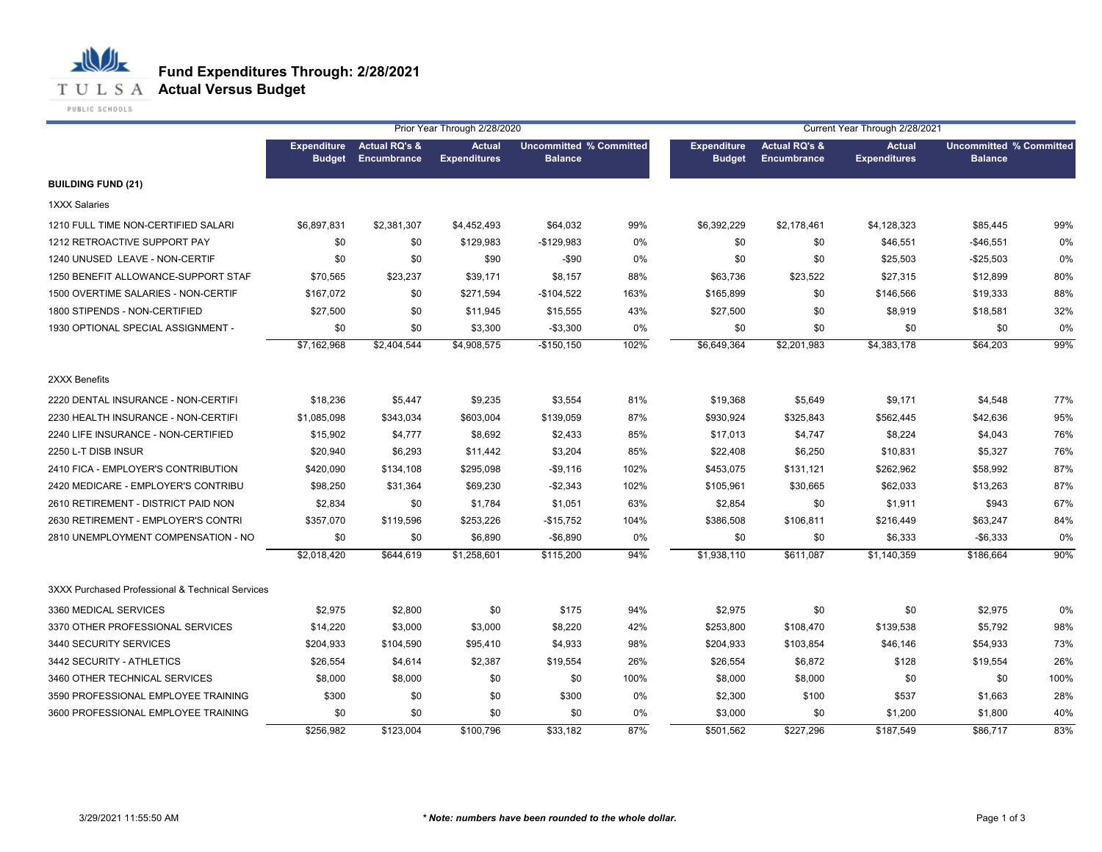

|                                                  |                                     |                                         | Prior Year Through 2/28/2020         |                                                  |       |                                     |                                         | Current Year Through 2/28/2021       |                                                  |      |
|--------------------------------------------------|-------------------------------------|-----------------------------------------|--------------------------------------|--------------------------------------------------|-------|-------------------------------------|-----------------------------------------|--------------------------------------|--------------------------------------------------|------|
|                                                  | <b>Expenditure</b><br><b>Budget</b> | <b>Actual RQ's &amp;</b><br>Encumbrance | <b>Actual</b><br><b>Expenditures</b> | <b>Uncommitted % Committed</b><br><b>Balance</b> |       | <b>Expenditure</b><br><b>Budget</b> | <b>Actual RQ's &amp;</b><br>Encumbrance | <b>Actual</b><br><b>Expenditures</b> | <b>Uncommitted % Committed</b><br><b>Balance</b> |      |
| <b>BUILDING FUND (21)</b>                        |                                     |                                         |                                      |                                                  |       |                                     |                                         |                                      |                                                  |      |
| <b>1XXX Salaries</b>                             |                                     |                                         |                                      |                                                  |       |                                     |                                         |                                      |                                                  |      |
| 1210 FULL TIME NON-CERTIFIED SALARI              | \$6,897,831                         | \$2,381,307                             | \$4,452,493                          | \$64,032                                         | 99%   | \$6,392,229                         | \$2,178,461                             | \$4,128,323                          | \$85,445                                         | 99%  |
| 1212 RETROACTIVE SUPPORT PAY                     | \$0                                 | \$0                                     | \$129,983                            | $-$129,983$                                      | $0\%$ | \$0                                 | \$0                                     | \$46,551                             | $-$46,551$                                       | 0%   |
| 1240 UNUSED LEAVE - NON-CERTIF                   | \$0                                 | \$0                                     | \$90                                 | $-$90$                                           | 0%    | \$0                                 | \$0                                     | \$25,503                             | $-$25,503$                                       | 0%   |
| 1250 BENEFIT ALLOWANCE-SUPPORT STAF              | \$70,565                            | \$23,237                                | \$39,171                             | \$8,157                                          | 88%   | \$63,736                            | \$23,522                                | \$27,315                             | \$12,899                                         | 80%  |
| 1500 OVERTIME SALARIES - NON-CERTIF              | \$167,072                           | \$0                                     | \$271,594                            | $-$104,522$                                      | 163%  | \$165,899                           | \$0                                     | \$146,566                            | \$19,333                                         | 88%  |
| 1800 STIPENDS - NON-CERTIFIED                    | \$27,500                            | \$0                                     | \$11,945                             | \$15,555                                         | 43%   | \$27,500                            | \$0                                     | \$8,919                              | \$18,581                                         | 32%  |
| 1930 OPTIONAL SPECIAL ASSIGNMENT -               | \$0                                 | \$0                                     | \$3,300                              | $-$3,300$                                        | 0%    | \$0                                 | \$0                                     | \$0                                  | \$0                                              | 0%   |
|                                                  | \$7,162,968                         | \$2,404,544                             | \$4,908,575                          | $-$150,150$                                      | 102%  | \$6,649,364                         | \$2,201,983                             | \$4,383,178                          | \$64,203                                         | 99%  |
| 2XXX Benefits                                    |                                     |                                         |                                      |                                                  |       |                                     |                                         |                                      |                                                  |      |
| 2220 DENTAL INSURANCE - NON-CERTIFI              | \$18,236                            | \$5,447                                 | \$9,235                              | \$3,554                                          | 81%   | \$19,368                            | \$5,649                                 | \$9,171                              | \$4,548                                          | 77%  |
| 2230 HEALTH INSURANCE - NON-CERTIFI              | \$1,085,098                         | \$343,034                               | \$603,004                            | \$139,059                                        | 87%   | \$930,924                           | \$325,843                               | \$562,445                            | \$42,636                                         | 95%  |
| 2240 LIFE INSURANCE - NON-CERTIFIED              | \$15,902                            | \$4,777                                 | \$8,692                              | \$2,433                                          | 85%   | \$17,013                            | \$4,747                                 | \$8,224                              | \$4,043                                          | 76%  |
| 2250 L-T DISB INSUR                              | \$20,940                            | \$6,293                                 | \$11,442                             | \$3,204                                          | 85%   | \$22,408                            | \$6,250                                 | \$10,831                             | \$5,327                                          | 76%  |
| 2410 FICA - EMPLOYER'S CONTRIBUTION              | \$420,090                           | \$134,108                               | \$295,098                            | $-$9,116$                                        | 102%  | \$453,075                           | \$131,121                               | \$262,962                            | \$58,992                                         | 87%  |
| 2420 MEDICARE - EMPLOYER'S CONTRIBU              | \$98,250                            | \$31,364                                | \$69,230                             | $-$2,343$                                        | 102%  | \$105,961                           | \$30,665                                | \$62,033                             | \$13,263                                         | 87%  |
| 2610 RETIREMENT - DISTRICT PAID NON              | \$2,834                             | \$0                                     | \$1,784                              | \$1,051                                          | 63%   | \$2,854                             | \$0                                     | \$1,911                              | \$943                                            | 67%  |
| 2630 RETIREMENT - EMPLOYER'S CONTRI              | \$357,070                           | \$119,596                               | \$253,226                            | -\$15,752                                        | 104%  | \$386,508                           | \$106,811                               | \$216,449                            | \$63,247                                         | 84%  |
| 2810 UNEMPLOYMENT COMPENSATION - NO              | \$0                                 | \$0                                     | \$6,890                              | $-$6,890$                                        | 0%    | \$0                                 | \$0                                     | \$6,333                              | $-$6,333$                                        | 0%   |
|                                                  | \$2,018,420                         | \$644,619                               | \$1,258,601                          | \$115,200                                        | 94%   | \$1,938,110                         | \$611,087                               | \$1,140,359                          | \$186,664                                        | 90%  |
| 3XXX Purchased Professional & Technical Services |                                     |                                         |                                      |                                                  |       |                                     |                                         |                                      |                                                  |      |
| 3360 MEDICAL SERVICES                            | \$2,975                             | \$2,800                                 | \$0                                  | \$175                                            | 94%   | \$2,975                             | \$0                                     | \$0                                  | \$2,975                                          | 0%   |
| 3370 OTHER PROFESSIONAL SERVICES                 | \$14,220                            | \$3,000                                 | \$3,000                              | \$8,220                                          | 42%   | \$253,800                           | \$108,470                               | \$139,538                            | \$5,792                                          | 98%  |
| 3440 SECURITY SERVICES                           | \$204,933                           | \$104,590                               | \$95,410                             | \$4,933                                          | 98%   | \$204,933                           | \$103,854                               | \$46,146                             | \$54,933                                         | 73%  |
| 3442 SECURITY - ATHLETICS                        | \$26,554                            | \$4,614                                 | \$2,387                              | \$19,554                                         | 26%   | \$26,554                            | \$6,872                                 | \$128                                | \$19,554                                         | 26%  |
| 3460 OTHER TECHNICAL SERVICES                    | \$8,000                             | \$8,000                                 | \$0                                  | \$0                                              | 100%  | \$8,000                             | \$8,000                                 | \$0                                  | \$0                                              | 100% |
| 3590 PROFESSIONAL EMPLOYEE TRAINING              | \$300                               | \$0                                     | \$0                                  | \$300                                            | 0%    | \$2,300                             | \$100                                   | \$537                                | \$1,663                                          | 28%  |
| 3600 PROFESSIONAL EMPLOYEE TRAINING              | \$0                                 | \$0                                     | \$0                                  | \$0                                              | 0%    | \$3,000                             | \$0                                     | \$1,200                              | \$1,800                                          | 40%  |
|                                                  | $\sqrt{$256,982}$                   | \$123,004                               | \$100,796                            | \$33,182                                         | 87%   | \$501,562                           | \$227,296                               | \$187,549                            | \$86,717                                         | 83%  |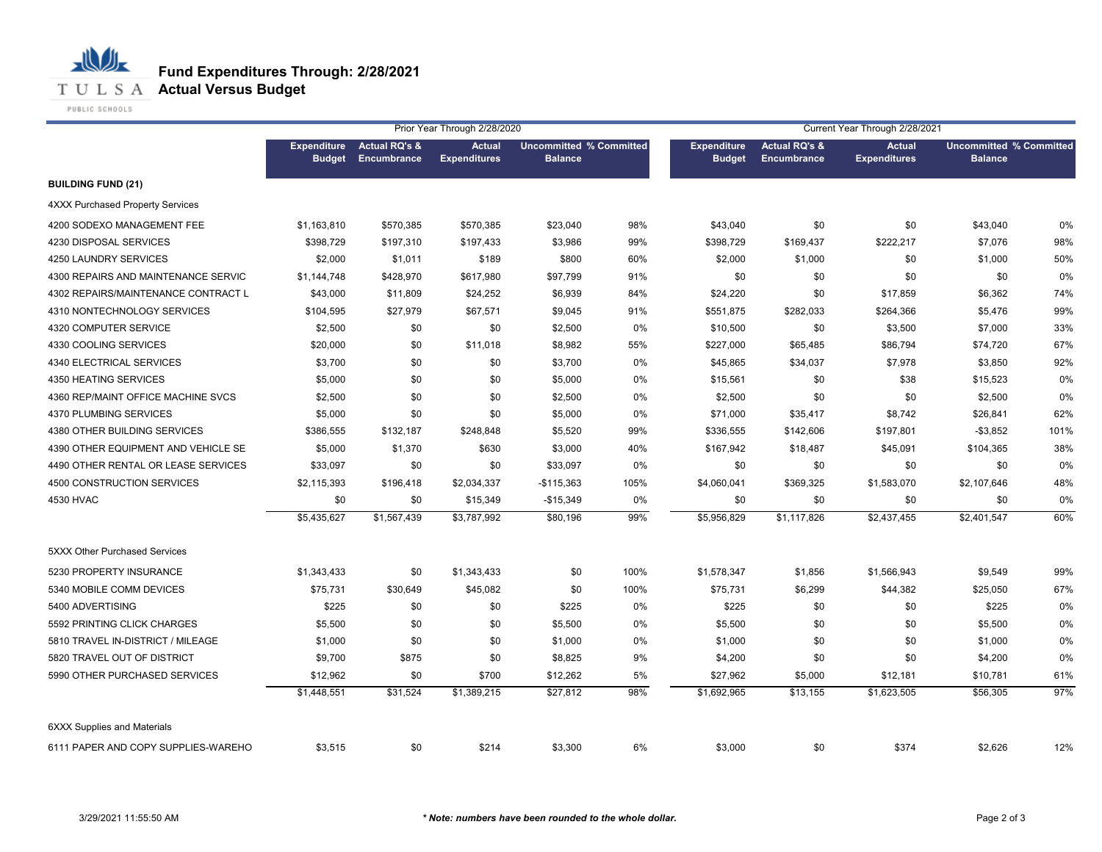

PUBLIC SCHOOLS

|                                         |                                     |                                         | Prior Year Through 2/28/2020         |                                                  |      | Current Year Through 2/28/2021      |                                         |                                      |                                                  |      |
|-----------------------------------------|-------------------------------------|-----------------------------------------|--------------------------------------|--------------------------------------------------|------|-------------------------------------|-----------------------------------------|--------------------------------------|--------------------------------------------------|------|
|                                         | <b>Expenditure</b><br><b>Budget</b> | <b>Actual RQ's &amp;</b><br>Encumbrance | <b>Actual</b><br><b>Expenditures</b> | <b>Uncommitted % Committed</b><br><b>Balance</b> |      | <b>Expenditure</b><br><b>Budget</b> | <b>Actual RQ's &amp;</b><br>Encumbrance | <b>Actual</b><br><b>Expenditures</b> | <b>Uncommitted % Committed</b><br><b>Balance</b> |      |
| <b>BUILDING FUND (21)</b>               |                                     |                                         |                                      |                                                  |      |                                     |                                         |                                      |                                                  |      |
| <b>4XXX Purchased Property Services</b> |                                     |                                         |                                      |                                                  |      |                                     |                                         |                                      |                                                  |      |
| 4200 SODEXO MANAGEMENT FEE              | \$1,163,810                         | \$570,385                               | \$570,385                            | \$23,040                                         | 98%  | \$43,040                            | \$0                                     | \$0                                  | \$43,040                                         | 0%   |
| 4230 DISPOSAL SERVICES                  | \$398,729                           | \$197,310                               | \$197,433                            | \$3,986                                          | 99%  | \$398,729                           | \$169,437                               | \$222,217                            | \$7,076                                          | 98%  |
| 4250 LAUNDRY SERVICES                   | \$2,000                             | \$1,011                                 | \$189                                | \$800                                            | 60%  | \$2,000                             | \$1,000                                 | \$0                                  | \$1,000                                          | 50%  |
| 4300 REPAIRS AND MAINTENANCE SERVIC     | \$1,144,748                         | \$428,970                               | \$617,980                            | \$97,799                                         | 91%  | \$0                                 | \$0                                     | \$0                                  | \$0                                              | 0%   |
| 4302 REPAIRS/MAINTENANCE CONTRACT L     | \$43,000                            | \$11,809                                | \$24,252                             | \$6,939                                          | 84%  | \$24,220                            | \$0                                     | \$17,859                             | \$6,362                                          | 74%  |
| 4310 NONTECHNOLOGY SERVICES             | \$104,595                           | \$27,979                                | \$67,571                             | \$9,045                                          | 91%  | \$551,875                           | \$282,033                               | \$264,366                            | \$5,476                                          | 99%  |
| 4320 COMPUTER SERVICE                   | \$2,500                             | \$0                                     | \$0                                  | \$2,500                                          | 0%   | \$10,500                            | \$0                                     | \$3,500                              | \$7,000                                          | 33%  |
| 4330 COOLING SERVICES                   | \$20,000                            | \$0                                     | \$11,018                             | \$8,982                                          | 55%  | \$227,000                           | \$65,485                                | \$86,794                             | \$74,720                                         | 67%  |
| 4340 ELECTRICAL SERVICES                | \$3,700                             | \$0                                     | \$0                                  | \$3,700                                          | 0%   | \$45,865                            | \$34,037                                | \$7,978                              | \$3,850                                          | 92%  |
| 4350 HEATING SERVICES                   | \$5,000                             | \$0                                     | \$0                                  | \$5,000                                          | 0%   | \$15,561                            | \$0                                     | \$38                                 | \$15,523                                         | 0%   |
| 4360 REP/MAINT OFFICE MACHINE SVCS      | \$2,500                             | \$0                                     | \$0                                  | \$2,500                                          | 0%   | \$2,500                             | \$0                                     | \$0                                  | \$2,500                                          | 0%   |
| 4370 PLUMBING SERVICES                  | \$5,000                             | \$0                                     | \$0                                  | \$5,000                                          | 0%   | \$71,000                            | \$35,417                                | \$8,742                              | \$26,841                                         | 62%  |
| 4380 OTHER BUILDING SERVICES            | \$386,555                           | \$132,187                               | \$248,848                            | \$5,520                                          | 99%  | \$336,555                           | \$142,606                               | \$197,801                            | $-$3,852$                                        | 101% |
| 4390 OTHER EQUIPMENT AND VEHICLE SE     | \$5,000                             | \$1,370                                 | \$630                                | \$3,000                                          | 40%  | \$167,942                           | \$18,487                                | \$45,091                             | \$104,365                                        | 38%  |
| 4490 OTHER RENTAL OR LEASE SERVICES     | \$33,097                            | \$0                                     | \$0                                  | \$33,097                                         | 0%   | \$0                                 | \$0                                     | \$0                                  | \$0                                              | 0%   |
| 4500 CONSTRUCTION SERVICES              | \$2,115,393                         | \$196,418                               | \$2,034,337                          | $-$115,363$                                      | 105% | \$4,060,041                         | \$369,325                               | \$1,583,070                          | \$2,107,646                                      | 48%  |
| 4530 HVAC                               | \$0                                 | \$0                                     | \$15,349                             | $-$15,349$                                       | 0%   | \$0                                 | \$0                                     | \$0                                  | \$0                                              | 0%   |
|                                         | \$5,435,627                         | \$1,567,439                             | \$3,787,992                          | \$80,196                                         | 99%  | \$5,956,829                         | \$1,117,826                             | \$2,437,455                          | \$2,401,547                                      | 60%  |
| 5XXX Other Purchased Services           |                                     |                                         |                                      |                                                  |      |                                     |                                         |                                      |                                                  |      |
| 5230 PROPERTY INSURANCE                 | \$1,343,433                         | \$0                                     | \$1,343,433                          | \$0                                              | 100% | \$1,578,347                         | \$1,856                                 | \$1,566,943                          | \$9,549                                          | 99%  |
| 5340 MOBILE COMM DEVICES                | \$75,731                            | \$30,649                                | \$45,082                             | \$0                                              | 100% | \$75,731                            | \$6,299                                 | \$44,382                             | \$25,050                                         | 67%  |
| 5400 ADVERTISING                        | \$225                               | \$0                                     | \$0                                  | \$225                                            | 0%   | \$225                               | \$0                                     | \$0                                  | \$225                                            | 0%   |
| 5592 PRINTING CLICK CHARGES             | \$5,500                             | \$0                                     | \$0                                  | \$5,500                                          | 0%   | \$5,500                             | \$0                                     | \$0                                  | \$5,500                                          | 0%   |
| 5810 TRAVEL IN-DISTRICT / MILEAGE       | \$1,000                             | \$0                                     | \$0                                  | \$1,000                                          | 0%   | \$1,000                             | \$0                                     | \$0                                  | \$1,000                                          | 0%   |
| 5820 TRAVEL OUT OF DISTRICT             | \$9,700                             | \$875                                   | \$0                                  | \$8,825                                          | 9%   | \$4,200                             | \$0                                     | \$0                                  | \$4,200                                          | 0%   |
| 5990 OTHER PURCHASED SERVICES           | \$12,962                            | \$0                                     | \$700                                | \$12,262                                         | 5%   | \$27,962                            | \$5,000                                 | \$12,181                             | \$10,781                                         | 61%  |
|                                         | \$1,448,551                         | \$31,524                                | \$1,389,215                          | \$27,812                                         | 98%  | \$1,692,965                         | \$13,155                                | \$1,623,505                          | \$56,305                                         | 97%  |
| <b>6XXX Supplies and Materials</b>      |                                     |                                         |                                      |                                                  |      |                                     |                                         |                                      |                                                  |      |
| 6111 PAPER AND COPY SUPPLIES-WAREHO     | \$3,515                             | \$0                                     | \$214                                | \$3,300                                          | 6%   | \$3,000                             | \$0                                     | \$374                                | \$2,626                                          | 12%  |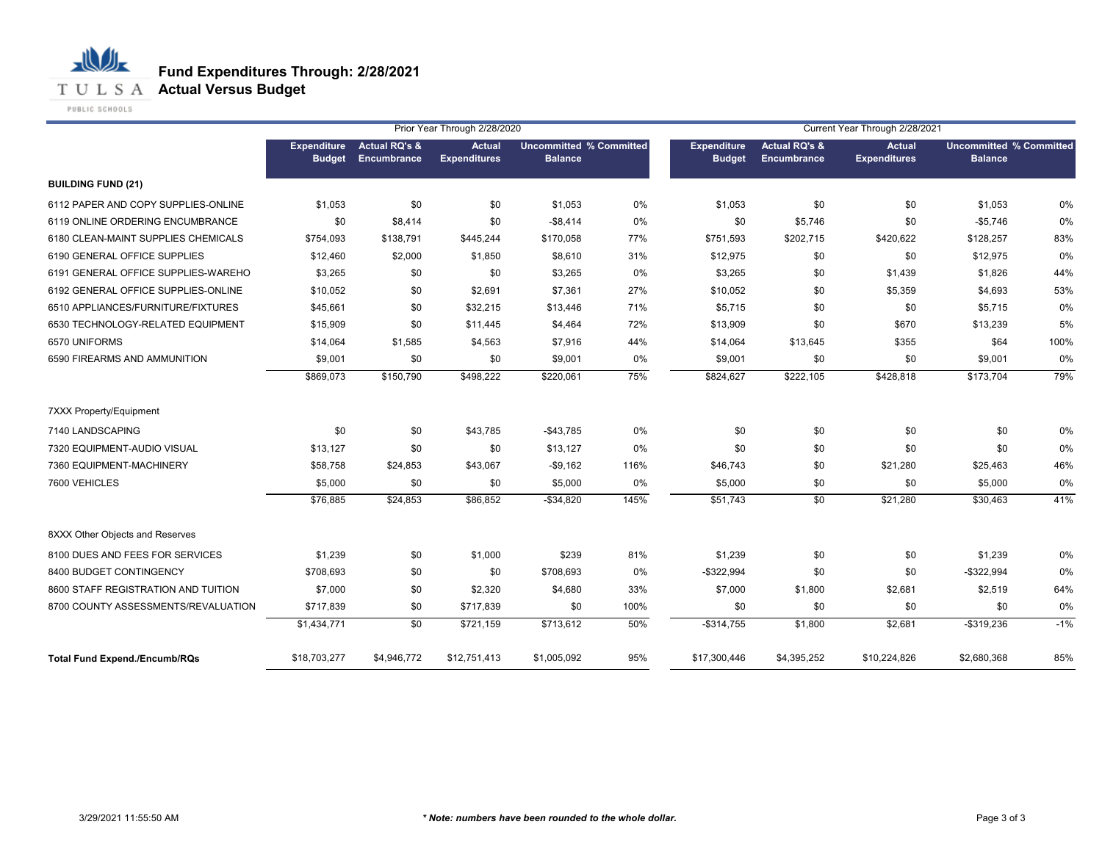

PUBLIC SCHOOLS

|                                      |                                     |                                         | Prior Year Through 2/28/2020         |                                                  |      | Current Year Through 2/28/2021      |                                         |                                      |                                                  |       |  |
|--------------------------------------|-------------------------------------|-----------------------------------------|--------------------------------------|--------------------------------------------------|------|-------------------------------------|-----------------------------------------|--------------------------------------|--------------------------------------------------|-------|--|
|                                      | <b>Expenditure</b><br><b>Budget</b> | <b>Actual RQ's &amp;</b><br>Encumbrance | <b>Actual</b><br><b>Expenditures</b> | <b>Uncommitted % Committed</b><br><b>Balance</b> |      | <b>Expenditure</b><br><b>Budget</b> | <b>Actual RQ's &amp;</b><br>Encumbrance | <b>Actual</b><br><b>Expenditures</b> | <b>Uncommitted % Committed</b><br><b>Balance</b> |       |  |
| <b>BUILDING FUND (21)</b>            |                                     |                                         |                                      |                                                  |      |                                     |                                         |                                      |                                                  |       |  |
| 6112 PAPER AND COPY SUPPLIES-ONLINE  | \$1,053                             | \$0                                     | \$0                                  | \$1,053                                          | 0%   | \$1,053                             | \$0                                     | \$0                                  | \$1,053                                          | 0%    |  |
| 6119 ONLINE ORDERING ENCUMBRANCE     | \$0                                 | \$8,414                                 | \$0                                  | $-$8,414$                                        | 0%   | \$0                                 | \$5,746                                 | \$0                                  | $-$5,746$                                        | 0%    |  |
| 6180 CLEAN-MAINT SUPPLIES CHEMICALS  | \$754,093                           | \$138.791                               | \$445,244                            | \$170,058                                        | 77%  | \$751,593                           | \$202,715                               | \$420,622                            | \$128,257                                        | 83%   |  |
| 6190 GENERAL OFFICE SUPPLIES         | \$12,460                            | \$2,000                                 | \$1,850                              | \$8,610                                          | 31%  | \$12,975                            | \$0                                     | \$0                                  | \$12,975                                         | 0%    |  |
| 6191 GENERAL OFFICE SUPPLIES-WAREHO  | \$3,265                             | \$0                                     | \$0                                  | \$3,265                                          | 0%   | \$3,265                             | \$0                                     | \$1,439                              | \$1,826                                          | 44%   |  |
| 6192 GENERAL OFFICE SUPPLIES-ONLINE  | \$10,052                            | \$0                                     | \$2,691                              | \$7,361                                          | 27%  | \$10,052                            | \$0                                     | \$5,359                              | \$4,693                                          | 53%   |  |
| 6510 APPLIANCES/FURNITURE/FIXTURES   | \$45,661                            | \$0                                     | \$32,215                             | \$13,446                                         | 71%  | \$5,715                             | \$0                                     | \$0                                  | \$5,715                                          | 0%    |  |
| 6530 TECHNOLOGY-RELATED EQUIPMENT    | \$15,909                            | \$0                                     | \$11,445                             | \$4,464                                          | 72%  | \$13,909                            | \$0                                     | \$670                                | \$13,239                                         | 5%    |  |
| 6570 UNIFORMS                        | \$14,064                            | \$1,585                                 | \$4,563                              | \$7,916                                          | 44%  | \$14,064                            | \$13,645                                | \$355                                | \$64                                             | 100%  |  |
| 6590 FIREARMS AND AMMUNITION         | \$9,001                             | \$0                                     | \$0                                  | \$9,001                                          | 0%   | \$9,001                             | \$0                                     | \$0                                  | \$9,001                                          | 0%    |  |
|                                      | \$869,073                           | \$150,790                               | \$498,222                            | \$220,061                                        | 75%  | \$824,627                           | \$222,105                               | \$428,818                            | \$173,704                                        | 79%   |  |
| 7XXX Property/Equipment              |                                     |                                         |                                      |                                                  |      |                                     |                                         |                                      |                                                  |       |  |
| 7140 LANDSCAPING                     | \$0                                 | \$0                                     | \$43,785                             | $-$43,785$                                       | 0%   | \$0                                 | \$0                                     | \$0                                  | \$0                                              | 0%    |  |
| 7320 EQUIPMENT-AUDIO VISUAL          | \$13,127                            | \$0                                     | \$0                                  | \$13,127                                         | 0%   | \$0                                 | \$0                                     | \$0                                  | \$0                                              | 0%    |  |
| 7360 EQUIPMENT-MACHINERY             | \$58,758                            | \$24,853                                | \$43,067                             | $-$9,162$                                        | 116% | \$46,743                            | \$0                                     | \$21,280                             | \$25,463                                         | 46%   |  |
| 7600 VEHICLES                        | \$5,000                             | \$0                                     | \$0                                  | \$5,000                                          | 0%   | \$5,000                             | \$0                                     | \$0                                  | \$5,000                                          | 0%    |  |
|                                      | \$76,885                            | \$24,853                                | \$86,852                             | $-$34,820$                                       | 145% | \$51,743                            | $\sqrt{50}$                             | \$21,280                             | \$30,463                                         | 41%   |  |
| 8XXX Other Objects and Reserves      |                                     |                                         |                                      |                                                  |      |                                     |                                         |                                      |                                                  |       |  |
| 8100 DUES AND FEES FOR SERVICES      | \$1,239                             | \$0                                     | \$1,000                              | \$239                                            | 81%  | \$1,239                             | \$0                                     | \$0                                  | \$1,239                                          | $0\%$ |  |
| 8400 BUDGET CONTINGENCY              | \$708,693                           | \$0                                     | \$0                                  | \$708,693                                        | 0%   | $-$322,994$                         | \$0                                     | \$0                                  | $-$ \$322,994                                    | 0%    |  |
| 8600 STAFF REGISTRATION AND TUITION  | \$7,000                             | \$0                                     | \$2,320                              | \$4,680                                          | 33%  | \$7,000                             | \$1,800                                 | \$2,681                              | \$2,519                                          | 64%   |  |
| 8700 COUNTY ASSESSMENTS/REVALUATION  | \$717,839                           | \$0                                     | \$717,839                            | \$0                                              | 100% | \$0                                 | \$0                                     | \$0                                  | \$0                                              | 0%    |  |
|                                      | \$1,434,771                         | \$0                                     | \$721,159                            | \$713,612                                        | 50%  | $-$ \$314,755                       | \$1,800                                 | \$2,681                              | $-$ \$319,236                                    | $-1%$ |  |
| <b>Total Fund Expend./Encumb/RQs</b> | \$18,703,277                        | \$4,946,772                             | \$12,751,413                         | \$1,005,092                                      | 95%  | \$17,300,446                        | \$4,395,252                             | \$10,224,826                         | \$2,680,368                                      | 85%   |  |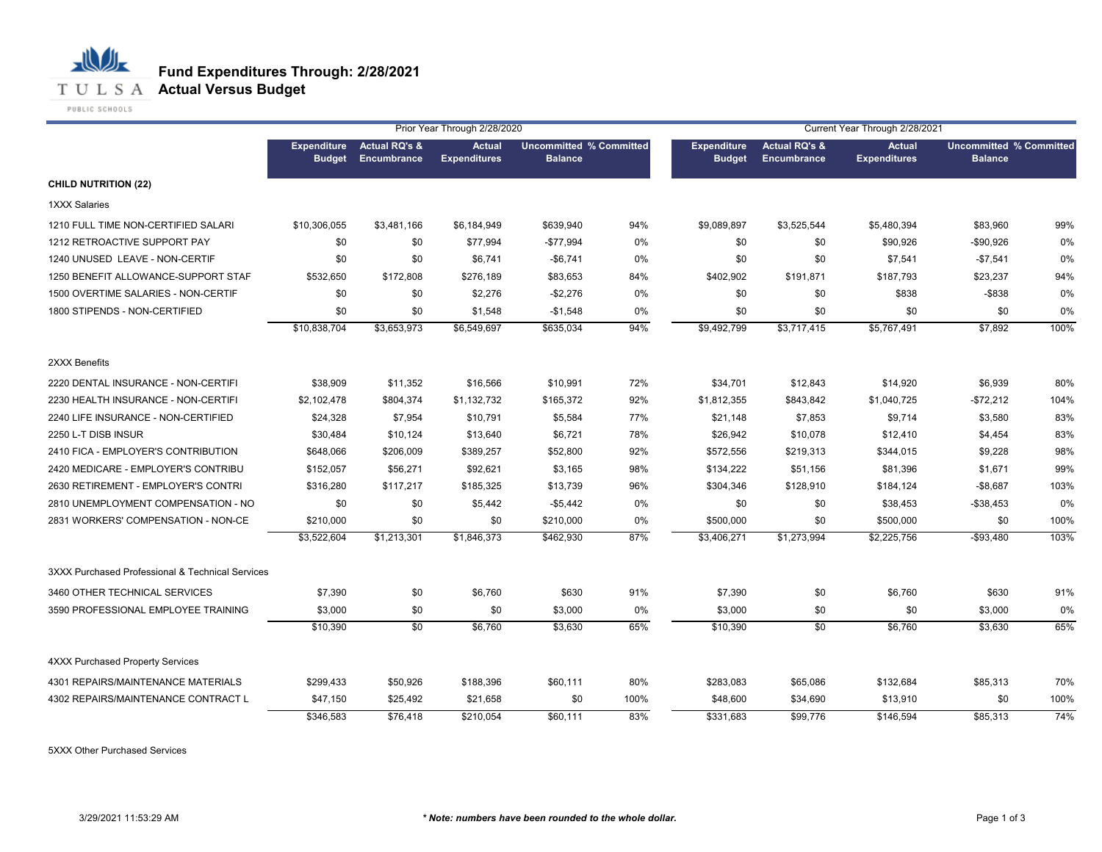

|                                                  |                                     |                                         | Prior Year Through 2/28/2020         |                                                  |       |                                     |                                         | Current Year Through 2/28/2021       |                                                  |      |
|--------------------------------------------------|-------------------------------------|-----------------------------------------|--------------------------------------|--------------------------------------------------|-------|-------------------------------------|-----------------------------------------|--------------------------------------|--------------------------------------------------|------|
|                                                  | <b>Expenditure</b><br><b>Budget</b> | <b>Actual RQ's &amp;</b><br>Encumbrance | <b>Actual</b><br><b>Expenditures</b> | <b>Uncommitted % Committed</b><br><b>Balance</b> |       | <b>Expenditure</b><br><b>Budget</b> | <b>Actual RQ's &amp;</b><br>Encumbrance | <b>Actual</b><br><b>Expenditures</b> | <b>Uncommitted % Committed</b><br><b>Balance</b> |      |
| <b>CHILD NUTRITION (22)</b>                      |                                     |                                         |                                      |                                                  |       |                                     |                                         |                                      |                                                  |      |
| <b>1XXX Salaries</b>                             |                                     |                                         |                                      |                                                  |       |                                     |                                         |                                      |                                                  |      |
| 1210 FULL TIME NON-CERTIFIED SALARI              | \$10,306,055                        | \$3,481,166                             | \$6,184,949                          | \$639,940                                        | 94%   | \$9,089,897                         | \$3,525,544                             | \$5,480,394                          | \$83,960                                         | 99%  |
| 1212 RETROACTIVE SUPPORT PAY                     | \$0                                 | \$0                                     | \$77,994                             | $-$77,994$                                       | $0\%$ | \$0                                 | \$0                                     | \$90,926                             | -\$90,926                                        | 0%   |
| 1240 UNUSED LEAVE - NON-CERTIF                   | \$0                                 | \$0                                     | \$6,741                              | $-$ \$6,741                                      | 0%    | \$0                                 | \$0                                     | \$7,541                              | $-$7,541$                                        | 0%   |
| 1250 BENEFIT ALLOWANCE-SUPPORT STAF              | \$532,650                           | \$172,808                               | \$276,189                            | \$83,653                                         | 84%   | \$402,902                           | \$191,871                               | \$187,793                            | \$23,237                                         | 94%  |
| 1500 OVERTIME SALARIES - NON-CERTIF              | \$0                                 | \$0                                     | \$2,276                              | $-$2,276$                                        | 0%    | \$0                                 | \$0                                     | \$838                                | $-$ \$838                                        | 0%   |
| 1800 STIPENDS - NON-CERTIFIED                    | \$0                                 | \$0                                     | \$1,548                              | $-$1,548$                                        | 0%    | \$0                                 | \$0                                     | \$0                                  | \$0                                              | 0%   |
|                                                  | \$10,838,704                        | \$3,653,973                             | \$6,549,697                          | \$635,034                                        | 94%   | \$9,492,799                         | \$3,717,415                             | \$5,767,491                          | \$7,892                                          | 100% |
| 2XXX Benefits                                    |                                     |                                         |                                      |                                                  |       |                                     |                                         |                                      |                                                  |      |
| 2220 DENTAL INSURANCE - NON-CERTIFI              | \$38,909                            | \$11,352                                | \$16,566                             | \$10,991                                         | 72%   | \$34,701                            | \$12,843                                | \$14,920                             | \$6,939                                          | 80%  |
| 2230 HEALTH INSURANCE - NON-CERTIFI              | \$2,102,478                         | \$804,374                               | \$1,132,732                          | \$165,372                                        | 92%   | \$1,812,355                         | \$843,842                               | \$1,040,725                          | $-$72,212$                                       | 104% |
| 2240 LIFE INSURANCE - NON-CERTIFIED              | \$24,328                            | \$7,954                                 | \$10,791                             | \$5,584                                          | 77%   | \$21,148                            | \$7,853                                 | \$9,714                              | \$3,580                                          | 83%  |
| 2250 L-T DISB INSUR                              | \$30,484                            | \$10,124                                | \$13,640                             | \$6,721                                          | 78%   | \$26,942                            | \$10,078                                | \$12,410                             | \$4,454                                          | 83%  |
| 2410 FICA - EMPLOYER'S CONTRIBUTION              | \$648,066                           | \$206,009                               | \$389,257                            | \$52,800                                         | 92%   | \$572,556                           | \$219,313                               | \$344,015                            | \$9,228                                          | 98%  |
| 2420 MEDICARE - EMPLOYER'S CONTRIBU              | \$152,057                           | \$56,271                                | \$92,621                             | \$3,165                                          | 98%   | \$134,222                           | \$51,156                                | \$81,396                             | \$1,671                                          | 99%  |
| 2630 RETIREMENT - EMPLOYER'S CONTRI              | \$316,280                           | \$117,217                               | \$185,325                            | \$13,739                                         | 96%   | \$304,346                           | \$128,910                               | \$184,124                            | $-$8,687$                                        | 103% |
| 2810 UNEMPLOYMENT COMPENSATION - NO              | \$0                                 | \$0                                     | \$5,442                              | $-$5,442$                                        | 0%    | \$0                                 | \$0                                     | \$38,453                             | $-$ \$38,453                                     | 0%   |
| 2831 WORKERS' COMPENSATION - NON-CE              | \$210,000                           | \$0                                     | \$0                                  | \$210,000                                        | 0%    | \$500,000                           | \$0                                     | \$500,000                            | \$0                                              | 100% |
|                                                  | \$3,522,604                         | \$1,213,301                             | \$1,846,373                          | \$462,930                                        | 87%   | \$3,406,271                         | \$1,273,994                             | \$2,225,756                          | $-$93,480$                                       | 103% |
| 3XXX Purchased Professional & Technical Services |                                     |                                         |                                      |                                                  |       |                                     |                                         |                                      |                                                  |      |
| 3460 OTHER TECHNICAL SERVICES                    | \$7,390                             | \$0                                     | \$6,760                              | \$630                                            | 91%   | \$7,390                             | \$0                                     | \$6,760                              | \$630                                            | 91%  |
| 3590 PROFESSIONAL EMPLOYEE TRAINING              | \$3,000                             | \$0                                     | \$0                                  | \$3,000                                          | 0%    | \$3,000                             | \$0                                     | \$0                                  | \$3,000                                          | 0%   |
|                                                  | \$10,390                            | \$0                                     | \$6,760                              | \$3,630                                          | 65%   | \$10,390                            | \$0                                     | \$6,760                              | \$3,630                                          | 65%  |
| 4XXX Purchased Property Services                 |                                     |                                         |                                      |                                                  |       |                                     |                                         |                                      |                                                  |      |
| 4301 REPAIRS/MAINTENANCE MATERIALS               | \$299,433                           | \$50,926                                | \$188,396                            | \$60,111                                         | 80%   | \$283,083                           | \$65,086                                | \$132,684                            | \$85,313                                         | 70%  |
| 4302 REPAIRS/MAINTENANCE CONTRACT L              | \$47,150                            | \$25,492                                | \$21,658                             | \$0                                              | 100%  | \$48,600                            | \$34,690                                | \$13,910                             | \$0                                              | 100% |
|                                                  | \$346,583                           | \$76,418                                | \$210,054                            | \$60,111                                         | 83%   | \$331,683                           | \$99,776                                | \$146,594                            | \$85,313                                         | 74%  |

5XXX Other Purchased Services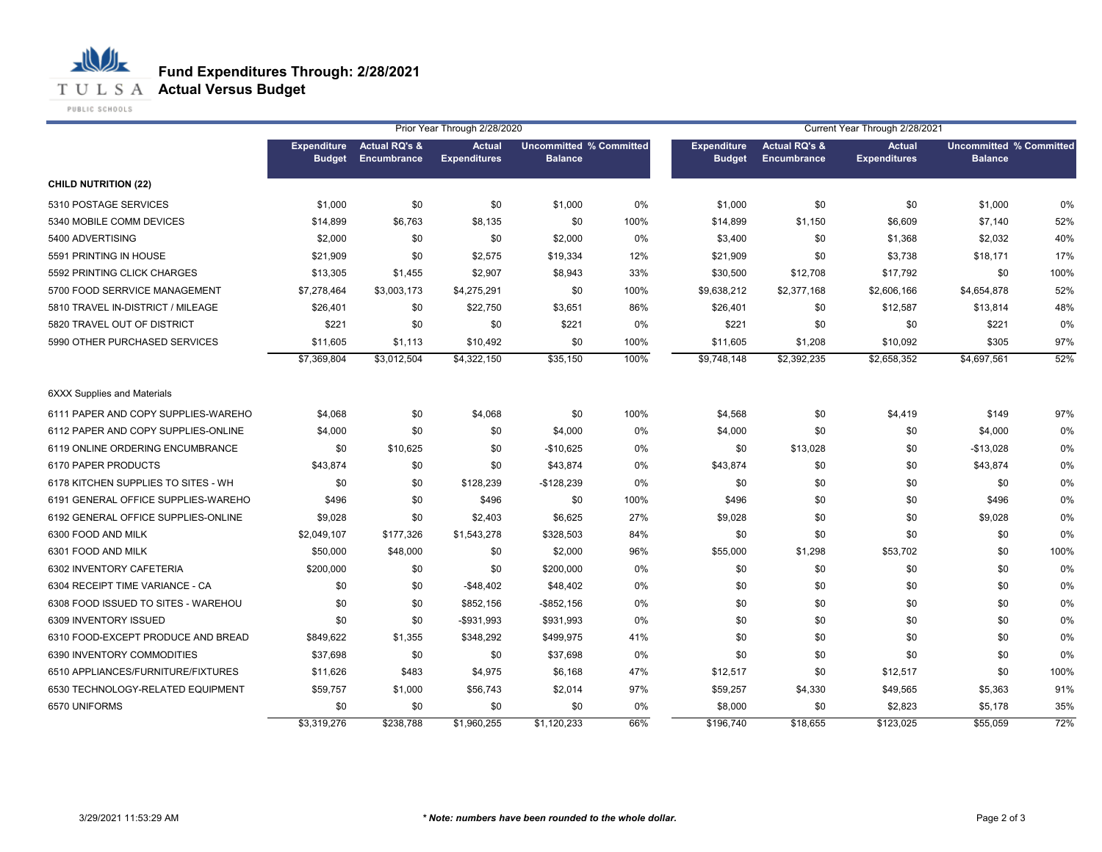

PUBLIC SCHOOLS

|                                     |                                     |                                                | Prior Year Through 2/28/2020         |                                                  |       | Current Year Through 2/28/2021      |                                                |                                      |                                                  |      |
|-------------------------------------|-------------------------------------|------------------------------------------------|--------------------------------------|--------------------------------------------------|-------|-------------------------------------|------------------------------------------------|--------------------------------------|--------------------------------------------------|------|
|                                     | <b>Expenditure</b><br><b>Budget</b> | <b>Actual RQ's &amp;</b><br><b>Encumbrance</b> | <b>Actual</b><br><b>Expenditures</b> | <b>Uncommitted % Committed</b><br><b>Balance</b> |       | <b>Expenditure</b><br><b>Budget</b> | <b>Actual RQ's &amp;</b><br><b>Encumbrance</b> | <b>Actual</b><br><b>Expenditures</b> | <b>Uncommitted % Committed</b><br><b>Balance</b> |      |
| <b>CHILD NUTRITION (22)</b>         |                                     |                                                |                                      |                                                  |       |                                     |                                                |                                      |                                                  |      |
| 5310 POSTAGE SERVICES               | \$1,000                             | \$0                                            | \$0                                  | \$1,000                                          | 0%    | \$1,000                             | \$0                                            | \$0                                  | \$1,000                                          | 0%   |
| 5340 MOBILE COMM DEVICES            | \$14,899                            | \$6,763                                        | \$8,135                              | \$0                                              | 100%  | \$14,899                            | \$1,150                                        | \$6,609                              | \$7,140                                          | 52%  |
| 5400 ADVERTISING                    | \$2,000                             | \$0                                            | \$0                                  | \$2,000                                          | 0%    | \$3,400                             | \$0                                            | \$1,368                              | \$2,032                                          | 40%  |
| 5591 PRINTING IN HOUSE              | \$21,909                            | \$0                                            | \$2,575                              | \$19,334                                         | 12%   | \$21,909                            | \$0                                            | \$3,738                              | \$18,171                                         | 17%  |
| 5592 PRINTING CLICK CHARGES         | \$13,305                            | \$1,455                                        | \$2,907                              | \$8,943                                          | 33%   | \$30,500                            | \$12,708                                       | \$17,792                             | \$0                                              | 100% |
| 5700 FOOD SERRVICE MANAGEMENT       | \$7,278,464                         | \$3,003,173                                    | \$4,275,291                          | \$0                                              | 100%  | \$9,638,212                         | \$2,377,168                                    | \$2,606,166                          | \$4,654,878                                      | 52%  |
| 5810 TRAVEL IN-DISTRICT / MILEAGE   | \$26,401                            | \$0                                            | \$22,750                             | \$3,651                                          | 86%   | \$26,401                            | \$0                                            | \$12,587                             | \$13,814                                         | 48%  |
| 5820 TRAVEL OUT OF DISTRICT         | \$221                               | \$0                                            | \$0                                  | \$221                                            | 0%    | \$221                               | \$0                                            | \$0                                  | \$221                                            | 0%   |
| 5990 OTHER PURCHASED SERVICES       | \$11,605                            | \$1,113                                        | \$10,492                             | \$0                                              | 100%  | \$11,605                            | \$1,208                                        | \$10,092                             | \$305                                            | 97%  |
|                                     | \$7,369,804                         | \$3,012,504                                    | \$4,322,150                          | \$35,150                                         | 100%  | \$9,748,148                         | \$2,392,235                                    | \$2,658,352                          | \$4,697,561                                      | 52%  |
| <b>6XXX Supplies and Materials</b>  |                                     |                                                |                                      |                                                  |       |                                     |                                                |                                      |                                                  |      |
| 6111 PAPER AND COPY SUPPLIES-WAREHO | \$4,068                             | \$0                                            | \$4,068                              | \$0                                              | 100%  | \$4,568                             | \$0                                            | \$4,419                              | \$149                                            | 97%  |
| 6112 PAPER AND COPY SUPPLIES-ONLINE | \$4,000                             | \$0                                            | \$0                                  | \$4,000                                          | 0%    | \$4,000                             | \$0                                            | \$0                                  | \$4,000                                          | 0%   |
| 6119 ONLINE ORDERING ENCUMBRANCE    | \$0                                 | \$10,625                                       | \$0                                  | $-$10,625$                                       | 0%    | \$0                                 | \$13,028                                       | \$0                                  | $-$13,028$                                       | 0%   |
| 6170 PAPER PRODUCTS                 | \$43,874                            | \$0                                            | \$0                                  | \$43,874                                         | 0%    | \$43,874                            | \$0                                            | \$0                                  | \$43,874                                         | 0%   |
| 6178 KITCHEN SUPPLIES TO SITES - WH | \$0                                 | \$0                                            | \$128,239                            | $-$128,239$                                      | 0%    | \$0                                 | \$0                                            | \$0                                  | \$0                                              | 0%   |
| 6191 GENERAL OFFICE SUPPLIES-WAREHO | \$496                               | \$0                                            | \$496                                | \$0                                              | 100%  | \$496                               | \$0                                            | \$0                                  | \$496                                            | 0%   |
| 6192 GENERAL OFFICE SUPPLIES-ONLINE | \$9,028                             | \$0                                            | \$2,403                              | \$6,625                                          | 27%   | \$9,028                             | \$0                                            | \$0                                  | \$9,028                                          | 0%   |
| 6300 FOOD AND MILK                  | \$2,049,107                         | \$177,326                                      | \$1,543,278                          | \$328,503                                        | 84%   | \$0                                 | \$0                                            | \$0                                  | \$0                                              | 0%   |
| 6301 FOOD AND MILK                  | \$50,000                            | \$48,000                                       | \$0                                  | \$2,000                                          | 96%   | \$55,000                            | \$1,298                                        | \$53,702                             | \$0                                              | 100% |
| 6302 INVENTORY CAFETERIA            | \$200,000                           | \$0                                            | \$0                                  | \$200,000                                        | 0%    | \$0                                 | \$0                                            | \$0                                  | \$0                                              | 0%   |
| 6304 RECEIPT TIME VARIANCE - CA     | \$0                                 | \$0                                            | $-$48,402$                           | \$48,402                                         | 0%    | \$0                                 | \$0                                            | \$0                                  | \$0                                              | 0%   |
| 6308 FOOD ISSUED TO SITES - WAREHOU | \$0                                 | \$0                                            | \$852,156                            | $-$ \$852,156                                    | $0\%$ | \$0                                 | \$0                                            | \$0                                  | \$0                                              | 0%   |
| 6309 INVENTORY ISSUED               | \$0                                 | \$0                                            | -\$931,993                           | \$931,993                                        | 0%    | \$0                                 | \$0                                            | \$0                                  | \$0                                              | 0%   |
| 6310 FOOD-EXCEPT PRODUCE AND BREAD  | \$849,622                           | \$1,355                                        | \$348,292                            | \$499,975                                        | 41%   | \$0                                 | \$0                                            | \$0                                  | \$0                                              | 0%   |
| 6390 INVENTORY COMMODITIES          | \$37,698                            | \$0                                            | \$0                                  | \$37,698                                         | 0%    | \$0                                 | \$0                                            | \$0                                  | \$0                                              | 0%   |
| 6510 APPLIANCES/FURNITURE/FIXTURES  | \$11,626                            | \$483                                          | \$4,975                              | \$6,168                                          | 47%   | \$12,517                            | \$0                                            | \$12,517                             | \$0                                              | 100% |
| 6530 TECHNOLOGY-RELATED EQUIPMENT   | \$59,757                            | \$1,000                                        | \$56,743                             | \$2,014                                          | 97%   | \$59,257                            | \$4,330                                        | \$49,565                             | \$5,363                                          | 91%  |
| 6570 UNIFORMS                       | \$0                                 | \$0                                            | \$0                                  | \$0                                              | 0%    | \$8,000                             | \$0                                            | \$2,823                              | \$5,178                                          | 35%  |
|                                     | \$3,319,276                         | \$238,788                                      | \$1,960,255                          | \$1,120,233                                      | 66%   | \$196,740                           | \$18,655                                       | \$123,025                            | \$55,059                                         | 72%  |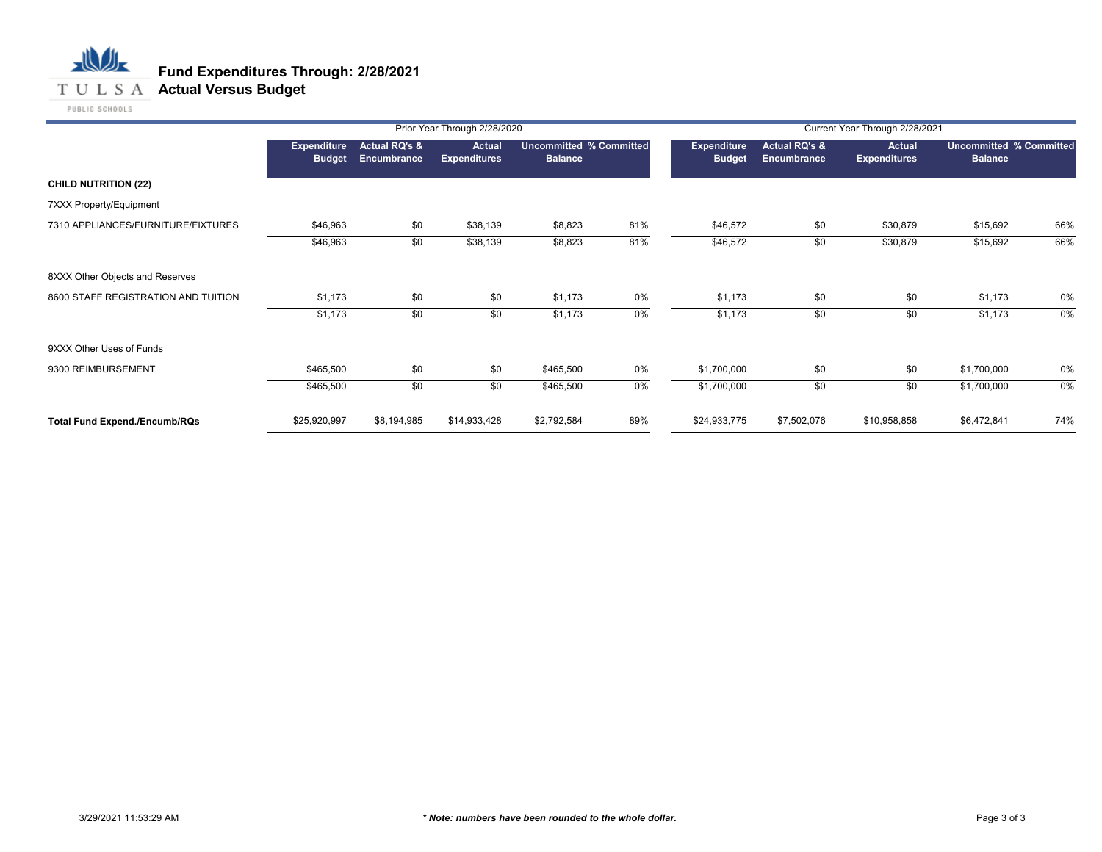## 心儿 **Fund Expenditures Through: 2/28/2021 T U L S A Actual Versus Budget**

|                                      |                                     |                              | Prior Year Through 2/28/2020         |                                                  |       |                                     |                                         | Current Year Through 2/28/2021       |                                                  |     |
|--------------------------------------|-------------------------------------|------------------------------|--------------------------------------|--------------------------------------------------|-------|-------------------------------------|-----------------------------------------|--------------------------------------|--------------------------------------------------|-----|
|                                      | <b>Expenditure</b><br><b>Budget</b> | Actual RQ's &<br>Encumbrance | <b>Actual</b><br><b>Expenditures</b> | <b>Uncommitted % Committed</b><br><b>Balance</b> |       | <b>Expenditure</b><br><b>Budget</b> | <b>Actual RQ's &amp;</b><br>Encumbrance | <b>Actual</b><br><b>Expenditures</b> | <b>Uncommitted % Committed</b><br><b>Balance</b> |     |
| <b>CHILD NUTRITION (22)</b>          |                                     |                              |                                      |                                                  |       |                                     |                                         |                                      |                                                  |     |
| 7XXX Property/Equipment              |                                     |                              |                                      |                                                  |       |                                     |                                         |                                      |                                                  |     |
| 7310 APPLIANCES/FURNITURE/FIXTURES   | \$46,963                            | \$0                          | \$38,139                             | \$8,823                                          | 81%   | \$46,572                            | \$0                                     | \$30,879                             | \$15,692                                         | 66% |
|                                      | \$46,963                            | \$0                          | \$38,139                             | \$8,823                                          | 81%   | \$46,572                            | \$0                                     | \$30,879                             | \$15,692                                         | 66% |
| 8XXX Other Objects and Reserves      |                                     |                              |                                      |                                                  |       |                                     |                                         |                                      |                                                  |     |
| 8600 STAFF REGISTRATION AND TUITION  | \$1,173                             | \$0                          | \$0                                  | \$1,173                                          | 0%    | \$1,173                             | \$0                                     | \$0                                  | \$1,173                                          | 0%  |
|                                      | \$1,173                             | \$0                          | \$0                                  | \$1,173                                          | $0\%$ | \$1,173                             | \$0                                     | \$0                                  | \$1,173                                          | 0%  |
| 9XXX Other Uses of Funds             |                                     |                              |                                      |                                                  |       |                                     |                                         |                                      |                                                  |     |
| 9300 REIMBURSEMENT                   | \$465,500                           | \$0                          | \$0                                  | \$465,500                                        | 0%    | \$1,700,000                         | \$0                                     | \$0                                  | \$1,700,000                                      | 0%  |
|                                      | \$465,500                           | \$0                          | \$0                                  | \$465,500                                        | $0\%$ | \$1,700,000                         | \$0                                     | \$0                                  | \$1,700,000                                      | 0%  |
| <b>Total Fund Expend./Encumb/RQs</b> | \$25,920,997                        | \$8,194,985                  | \$14,933,428                         | \$2,792,584                                      | 89%   | \$24,933,775                        | \$7,502,076                             | \$10,958,858                         | \$6,472,841                                      | 74% |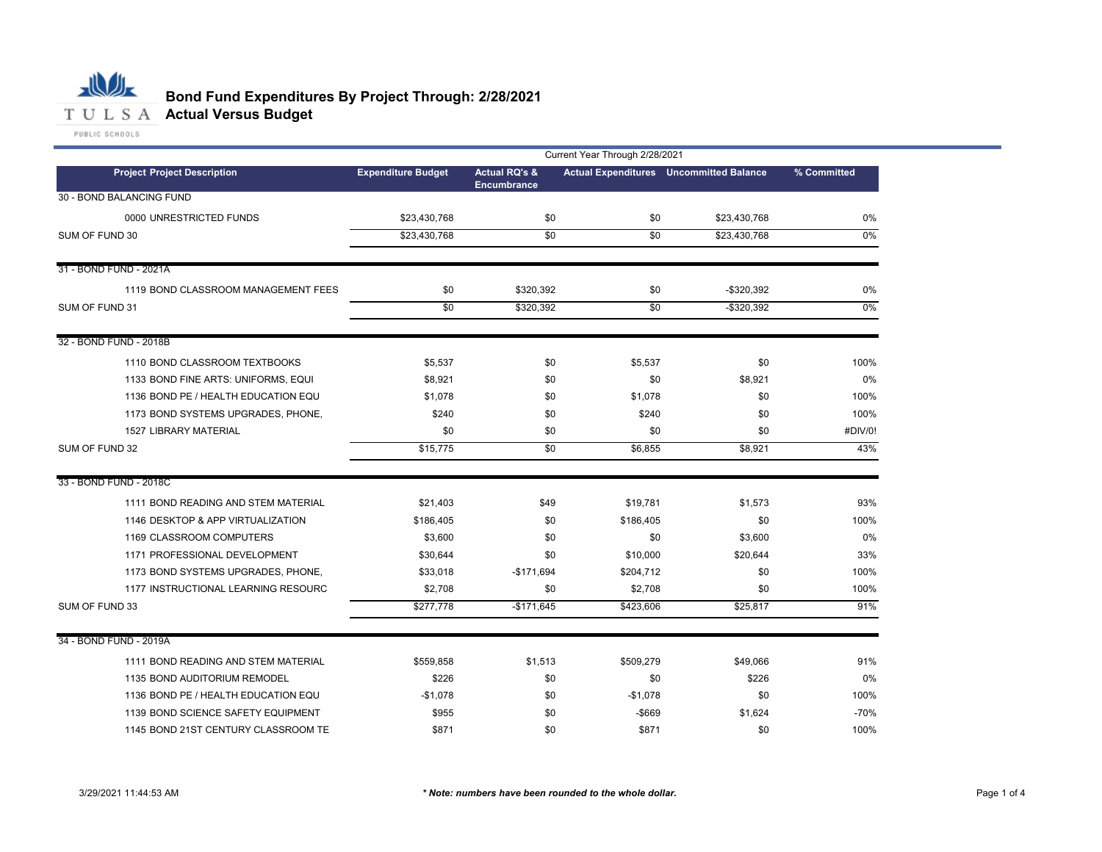

## **Bond Fund Expenditures By Project Through: 2/28/2021**

| Current Year Through 2/28/2021      |                           |                          |                 |                                                |             |  |
|-------------------------------------|---------------------------|--------------------------|-----------------|------------------------------------------------|-------------|--|
| <b>Project Project Description</b>  | <b>Expenditure Budget</b> | <b>Actual RQ's &amp;</b> |                 | <b>Actual Expenditures</b> Uncommitted Balance | % Committed |  |
| 30 - BOND BALANCING FUND            |                           | <b>Encumbrance</b>       |                 |                                                |             |  |
| 0000 UNRESTRICTED FUNDS             | \$23,430,768              | \$0                      | \$0             | \$23,430,768                                   | 0%          |  |
| SUM OF FUND 30                      | \$23,430,768              | $\overline{30}$          | $\overline{50}$ | \$23,430,768                                   | $0\%$       |  |
|                                     |                           |                          |                 |                                                |             |  |
| 31 - BOND FUND - 2021A              |                           |                          |                 |                                                |             |  |
| 1119 BOND CLASSROOM MANAGEMENT FEES | \$0                       | \$320,392                | \$0             | $-$ \$320,392                                  | 0%          |  |
| SUM OF FUND 31                      | \$0                       | \$320,392                | \$0             | $-$ \$320,392                                  | $0\%$       |  |
| 32 - BOND FUND - 2018B              |                           |                          |                 |                                                |             |  |
| 1110 BOND CLASSROOM TEXTBOOKS       | \$5,537                   | \$0                      | \$5,537         | \$0                                            | 100%        |  |
| 1133 BOND FINE ARTS: UNIFORMS, EQUI | \$8,921                   | \$0                      | \$0             | \$8,921                                        | 0%          |  |
| 1136 BOND PE / HEALTH EDUCATION EQU | \$1,078                   | \$0                      | \$1,078         | \$0                                            | 100%        |  |
| 1173 BOND SYSTEMS UPGRADES, PHONE,  | \$240                     | \$0                      | \$240           | \$0                                            | 100%        |  |
| <b>1527 LIBRARY MATERIAL</b>        | \$0                       | \$0                      | \$0             | \$0                                            | #DIV/0!     |  |
| SUM OF FUND 32                      | \$15,775                  | \$0                      | \$6,855         | \$8,921                                        | 43%         |  |
| 33 - BOND FUND - 2018C              |                           |                          |                 |                                                |             |  |
| 1111 BOND READING AND STEM MATERIAL | \$21,403                  | \$49                     | \$19,781        | \$1,573                                        | 93%         |  |
| 1146 DESKTOP & APP VIRTUALIZATION   | \$186,405                 | \$0                      | \$186,405       | \$0                                            | 100%        |  |
| 1169 CLASSROOM COMPUTERS            | \$3,600                   | \$0                      | \$0             | \$3,600                                        | 0%          |  |
| 1171 PROFESSIONAL DEVELOPMENT       | \$30,644                  | \$0                      | \$10,000        | \$20,644                                       | 33%         |  |
| 1173 BOND SYSTEMS UPGRADES, PHONE,  | \$33,018                  | $-$171,694$              | \$204,712       | \$0                                            | 100%        |  |
| 1177 INSTRUCTIONAL LEARNING RESOURC | \$2,708                   | \$0                      | \$2,708         | \$0                                            | 100%        |  |
| SUM OF FUND 33                      | \$277,778                 | $-$171,645$              | \$423,606       | \$25,817                                       | 91%         |  |
| 34 - BOND FUND - 2019A              |                           |                          |                 |                                                |             |  |
| 1111 BOND READING AND STEM MATERIAL | \$559,858                 | \$1,513                  | \$509,279       | \$49,066                                       | 91%         |  |
| 1135 BOND AUDITORIUM REMODEL        | \$226                     | \$0                      | \$0             | \$226                                          | 0%          |  |
| 1136 BOND PE / HEALTH EDUCATION EQU | $-$1,078$                 | \$0                      | $-$1,078$       | \$0                                            | 100%        |  |
| 1139 BOND SCIENCE SAFETY EQUIPMENT  | \$955                     | \$0                      | $-$ \$669       | \$1,624                                        | $-70%$      |  |
| 1145 BOND 21ST CENTURY CLASSROOM TE | \$871                     | \$0                      | \$871           | \$0                                            | 100%        |  |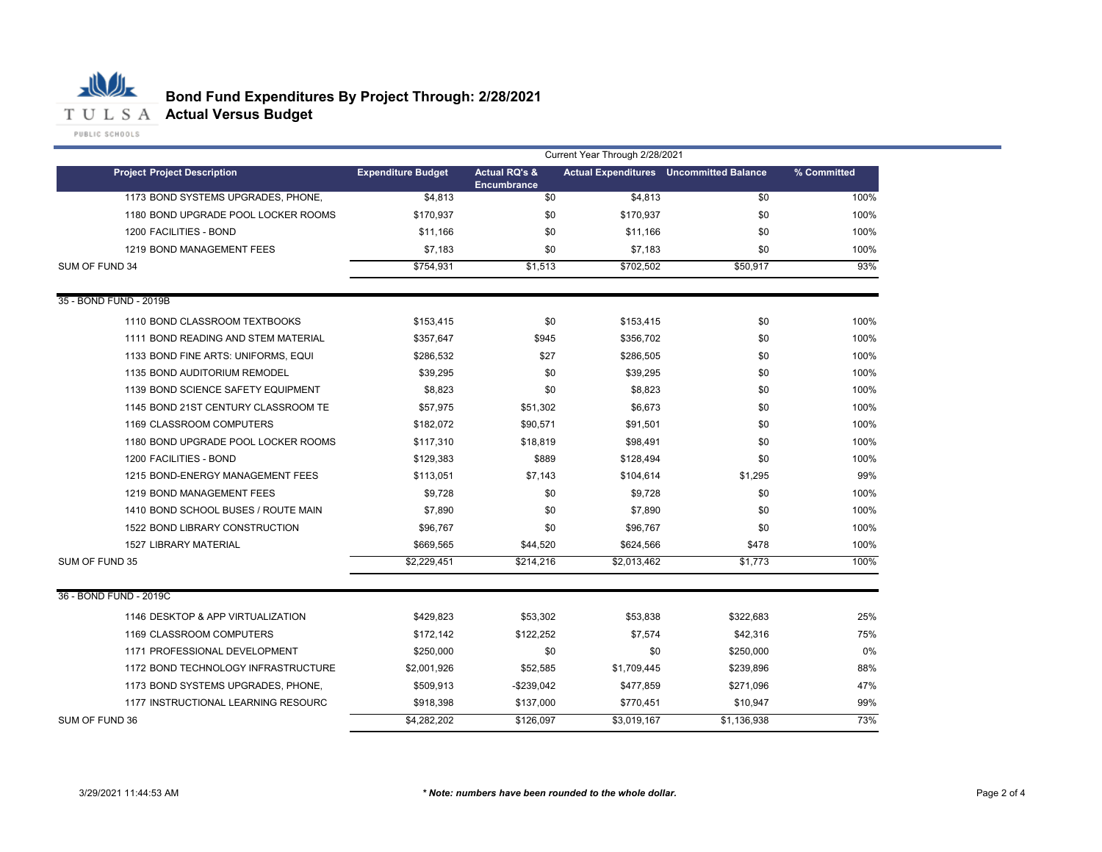

## **Bond Fund Expenditures By Project Through: 2/28/2021**

|                                     | Current Year Through 2/28/2021 |                                                |             |                                                |             |
|-------------------------------------|--------------------------------|------------------------------------------------|-------------|------------------------------------------------|-------------|
| <b>Project Project Description</b>  | <b>Expenditure Budget</b>      | <b>Actual RQ's &amp;</b><br><b>Encumbrance</b> |             | <b>Actual Expenditures</b> Uncommitted Balance | % Committed |
| 1173 BOND SYSTEMS UPGRADES, PHONE,  | \$4.813                        | \$0                                            | \$4,813     | \$0                                            | 100%        |
| 1180 BOND UPGRADE POOL LOCKER ROOMS | \$170,937                      | \$0                                            | \$170,937   | \$0                                            | 100%        |
| 1200 FACILITIES - BOND              | \$11,166                       | \$0                                            | \$11,166    | \$0                                            | 100%        |
| 1219 BOND MANAGEMENT FEES           | \$7,183                        | \$0                                            | \$7,183     | \$0                                            | 100%        |
| SUM OF FUND 34                      | \$754,931                      | \$1,513                                        | \$702,502   | \$50,917                                       | 93%         |
| 35 - BOND FUND - 2019B              |                                |                                                |             |                                                |             |
| 1110 BOND CLASSROOM TEXTBOOKS       | \$153,415                      | \$0                                            | \$153,415   | \$0                                            | 100%        |
| 1111 BOND READING AND STEM MATERIAL | \$357,647                      | \$945                                          | \$356,702   | \$0                                            | 100%        |
| 1133 BOND FINE ARTS: UNIFORMS, EQUI | \$286,532                      | \$27                                           | \$286,505   | \$0                                            | 100%        |
| 1135 BOND AUDITORIUM REMODEL        | \$39,295                       | \$0                                            | \$39,295    | \$0                                            | 100%        |
| 1139 BOND SCIENCE SAFETY EQUIPMENT  | \$8,823                        | \$0                                            | \$8,823     | \$0                                            | 100%        |
| 1145 BOND 21ST CENTURY CLASSROOM TE | \$57,975                       | \$51,302                                       | \$6,673     | \$0                                            | 100%        |
| 1169 CLASSROOM COMPUTERS            | \$182,072                      | \$90,571                                       | \$91,501    | \$0                                            | 100%        |
| 1180 BOND UPGRADE POOL LOCKER ROOMS | \$117,310                      | \$18,819                                       | \$98,491    | \$0                                            | 100%        |
| 1200 FACILITIES - BOND              | \$129,383                      | \$889                                          | \$128,494   | \$0                                            | 100%        |
| 1215 BOND-ENERGY MANAGEMENT FEES    | \$113,051                      | \$7,143                                        | \$104,614   | \$1,295                                        | 99%         |
| 1219 BOND MANAGEMENT FEES           | \$9,728                        | \$0                                            | \$9,728     | \$0                                            | 100%        |
| 1410 BOND SCHOOL BUSES / ROUTE MAIN | \$7,890                        | \$0                                            | \$7,890     | \$0                                            | 100%        |
| 1522 BOND LIBRARY CONSTRUCTION      | \$96,767                       | \$0                                            | \$96,767    | \$0                                            | 100%        |
| <b>1527 LIBRARY MATERIAL</b>        | \$669,565                      | \$44,520                                       | \$624,566   | \$478                                          | 100%        |
| SUM OF FUND 35                      | \$2,229,451                    | \$214,216                                      | \$2,013,462 | \$1,773                                        | 100%        |
| 36 - BOND FUND - 2019C              |                                |                                                |             |                                                |             |
| 1146 DESKTOP & APP VIRTUALIZATION   | \$429,823                      | \$53,302                                       | \$53,838    | \$322,683                                      | 25%         |
| 1169 CLASSROOM COMPUTERS            | \$172,142                      | \$122,252                                      | \$7,574     | \$42,316                                       | 75%         |
| 1171 PROFESSIONAL DEVELOPMENT       | \$250,000                      | \$0                                            | \$0         | \$250,000                                      | $0\%$       |
| 1172 BOND TECHNOLOGY INFRASTRUCTURE | \$2,001,926                    | \$52.585                                       | \$1,709,445 | \$239,896                                      | 88%         |
| 1173 BOND SYSTEMS UPGRADES, PHONE,  | \$509,913                      | $-$239,042$                                    | \$477,859   | \$271,096                                      | 47%         |
| 1177 INSTRUCTIONAL LEARNING RESOURC | \$918,398                      | \$137,000                                      | \$770,451   | \$10,947                                       | 99%         |
| SUM OF FUND 36                      | \$4,282,202                    | \$126,097                                      | \$3,019,167 | \$1,136,938                                    | 73%         |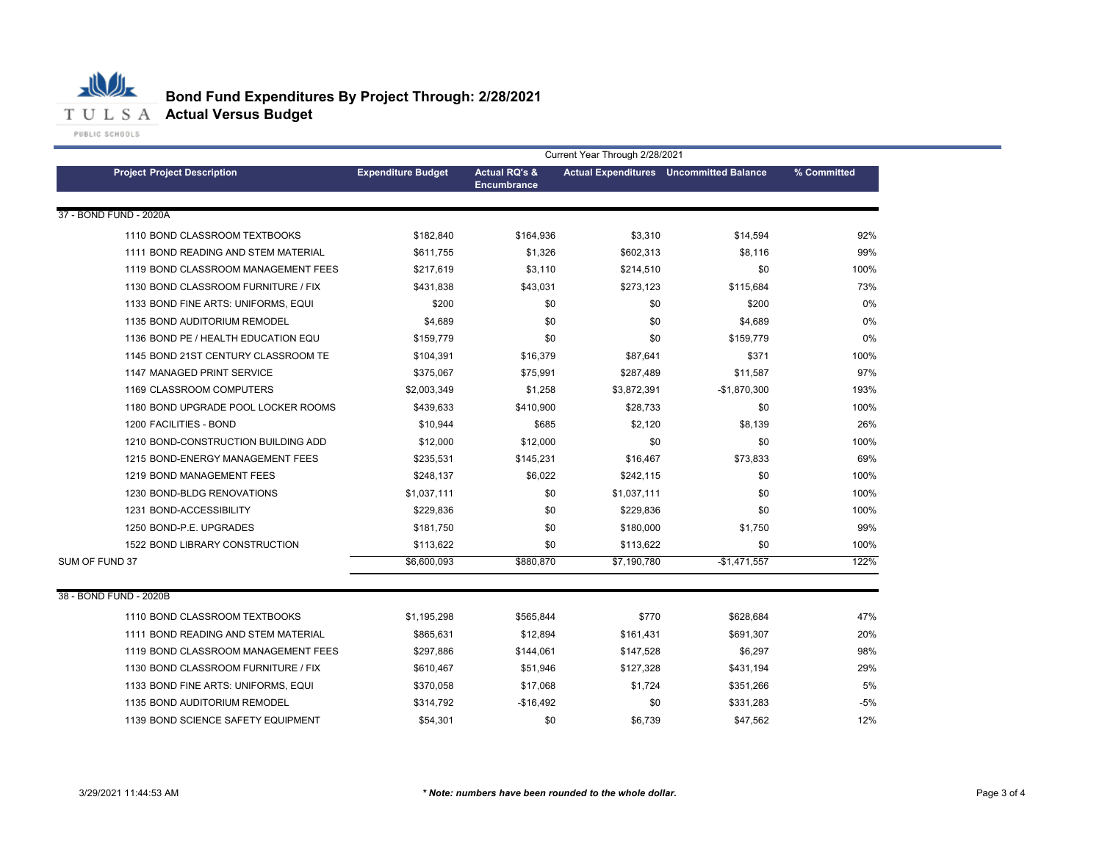

|                                     | Current Year Through 2/28/2021 |                                                |             |                                                |             |
|-------------------------------------|--------------------------------|------------------------------------------------|-------------|------------------------------------------------|-------------|
| <b>Project Project Description</b>  | <b>Expenditure Budget</b>      | <b>Actual RQ's &amp;</b><br><b>Encumbrance</b> |             | <b>Actual Expenditures</b> Uncommitted Balance | % Committed |
| 37 - BOND FUND - 2020A              |                                |                                                |             |                                                |             |
| 1110 BOND CLASSROOM TEXTBOOKS       | \$182,840                      | \$164,936                                      | \$3,310     | \$14,594                                       | 92%         |
| 1111 BOND READING AND STEM MATERIAL | \$611.755                      | \$1,326                                        | \$602,313   | \$8,116                                        | 99%         |
| 1119 BOND CLASSROOM MANAGEMENT FEES | \$217,619                      | \$3,110                                        | \$214,510   | \$0                                            | 100%        |
| 1130 BOND CLASSROOM FURNITURE / FIX | \$431,838                      | \$43,031                                       | \$273,123   | \$115,684                                      | 73%         |
| 1133 BOND FINE ARTS: UNIFORMS, EQUI | \$200                          | \$0                                            | \$0         | \$200                                          | 0%          |
| 1135 BOND AUDITORIUM REMODEL        | \$4,689                        | \$0                                            | \$0         | \$4,689                                        | 0%          |
| 1136 BOND PE / HEALTH EDUCATION EQU | \$159.779                      | \$0                                            | \$0         | \$159.779                                      | 0%          |
| 1145 BOND 21ST CENTURY CLASSROOM TE | \$104,391                      | \$16,379                                       | \$87,641    | \$371                                          | 100%        |
| 1147 MANAGED PRINT SERVICE          | \$375,067                      | \$75,991                                       | \$287,489   | \$11,587                                       | 97%         |
| 1169 CLASSROOM COMPUTERS            | \$2,003,349                    | \$1,258                                        | \$3,872,391 | $-$1,870,300$                                  | 193%        |
| 1180 BOND UPGRADE POOL LOCKER ROOMS | \$439,633                      | \$410,900                                      | \$28,733    | \$0                                            | 100%        |
| 1200 FACILITIES - BOND              | \$10,944                       | \$685                                          | \$2,120     | \$8,139                                        | 26%         |
| 1210 BOND-CONSTRUCTION BUILDING ADD | \$12,000                       | \$12,000                                       | \$0         | \$0                                            | 100%        |
| 1215 BOND-ENERGY MANAGEMENT FEES    | \$235,531                      | \$145,231                                      | \$16,467    | \$73,833                                       | 69%         |
| 1219 BOND MANAGEMENT FEES           | \$248,137                      | \$6,022                                        | \$242,115   | \$0                                            | 100%        |
| 1230 BOND-BLDG RENOVATIONS          | \$1,037,111                    | \$0                                            | \$1,037,111 | \$0                                            | 100%        |
| 1231 BOND-ACCESSIBILITY             | \$229,836                      | \$0                                            | \$229,836   | \$0                                            | 100%        |
| 1250 BOND-P.E. UPGRADES             | \$181,750                      | \$0                                            | \$180,000   | \$1,750                                        | 99%         |
| 1522 BOND LIBRARY CONSTRUCTION      | \$113,622                      | \$0                                            | \$113,622   | \$0                                            | 100%        |
| SUM OF FUND 37                      | \$6,600,093                    | \$880,870                                      | \$7,190,780 | $-$1,471,557$                                  | 122%        |
| 38 - BOND FUND - 2020B              |                                |                                                |             |                                                |             |
| 1110 BOND CLASSROOM TEXTBOOKS       | \$1,195,298                    | \$565,844                                      | \$770       | \$628,684                                      | 47%         |
| 1111 BOND READING AND STEM MATERIAL | \$865,631                      | \$12,894                                       | \$161,431   | \$691,307                                      | 20%         |
| 1119 BOND CLASSROOM MANAGEMENT FEES | \$297,886                      | \$144,061                                      | \$147,528   | \$6,297                                        | 98%         |
| 1130 BOND CLASSROOM FURNITURE / FIX | \$610,467                      | \$51,946                                       | \$127,328   | \$431,194                                      | 29%         |
| 1133 BOND FINE ARTS: UNIFORMS, EQUI | \$370,058                      | \$17,068                                       | \$1,724     | \$351,266                                      | 5%          |
| 1135 BOND AUDITORIUM REMODEL        | \$314,792                      | -\$16,492                                      | \$0         | \$331,283                                      | $-5%$       |
| 1139 BOND SCIENCE SAFETY EQUIPMENT  | \$54,301                       | \$0                                            | \$6,739     | \$47,562                                       | 12%         |
|                                     |                                |                                                |             |                                                |             |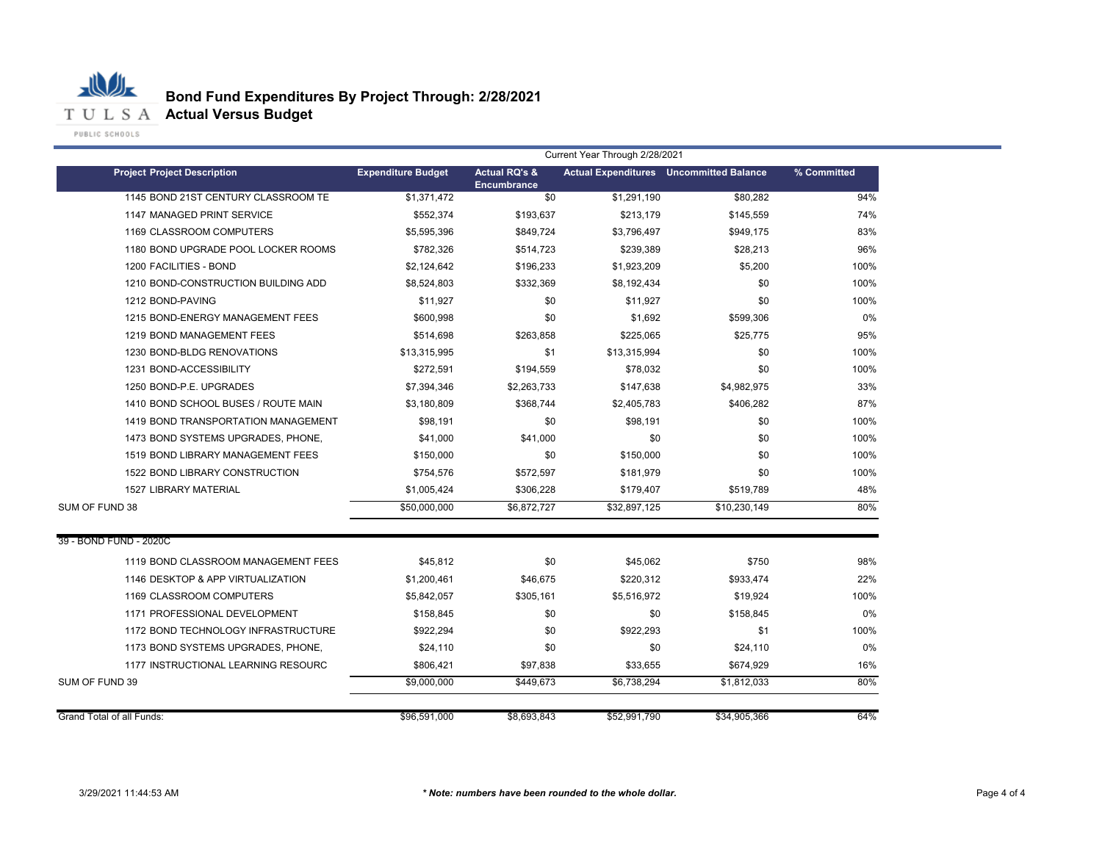

|                                     | Current Year Through 2/28/2021 |                                                |              |                                                |             |
|-------------------------------------|--------------------------------|------------------------------------------------|--------------|------------------------------------------------|-------------|
| <b>Project Project Description</b>  | <b>Expenditure Budget</b>      | <b>Actual RQ's &amp;</b><br><b>Encumbrance</b> |              | <b>Actual Expenditures</b> Uncommitted Balance | % Committed |
| 1145 BOND 21ST CENTURY CLASSROOM TE | \$1,371,472                    | \$0                                            | \$1,291,190  | \$80,282                                       | 94%         |
| 1147 MANAGED PRINT SERVICE          | \$552.374                      | \$193,637                                      | \$213,179    | \$145,559                                      | 74%         |
| 1169 CLASSROOM COMPUTERS            | \$5,595,396                    | \$849,724                                      | \$3,796,497  | \$949,175                                      | 83%         |
| 1180 BOND UPGRADE POOL LOCKER ROOMS | \$782,326                      | \$514,723                                      | \$239,389    | \$28,213                                       | 96%         |
| 1200 FACILITIES - BOND              | \$2,124,642                    | \$196,233                                      | \$1,923,209  | \$5,200                                        | 100%        |
| 1210 BOND-CONSTRUCTION BUILDING ADD | \$8,524,803                    | \$332,369                                      | \$8,192,434  | \$0                                            | 100%        |
| 1212 BOND-PAVING                    | \$11,927                       | \$0                                            | \$11,927     | \$0                                            | 100%        |
| 1215 BOND-ENERGY MANAGEMENT FEES    | \$600,998                      | \$0                                            | \$1,692      | \$599,306                                      | 0%          |
| 1219 BOND MANAGEMENT FEES           | \$514,698                      | \$263,858                                      | \$225,065    | \$25,775                                       | 95%         |
| 1230 BOND-BLDG RENOVATIONS          | \$13,315,995                   | \$1                                            | \$13,315,994 | \$0                                            | 100%        |
| 1231 BOND-ACCESSIBILITY             | \$272,591                      | \$194,559                                      | \$78,032     | \$0                                            | 100%        |
| 1250 BOND-P.E. UPGRADES             | \$7,394,346                    | \$2,263,733                                    | \$147,638    | \$4,982,975                                    | 33%         |
| 1410 BOND SCHOOL BUSES / ROUTE MAIN | \$3,180,809                    | \$368,744                                      | \$2,405,783  | \$406,282                                      | 87%         |
| 1419 BOND TRANSPORTATION MANAGEMENT | \$98,191                       | \$0                                            | \$98.191     | \$0                                            | 100%        |
| 1473 BOND SYSTEMS UPGRADES, PHONE,  | \$41,000                       | \$41,000                                       | \$0          | \$0                                            | 100%        |
| 1519 BOND LIBRARY MANAGEMENT FEES   | \$150,000                      | \$0                                            | \$150,000    | \$0                                            | 100%        |
| 1522 BOND LIBRARY CONSTRUCTION      | \$754,576                      | \$572,597                                      | \$181,979    | \$0                                            | 100%        |
| <b>1527 LIBRARY MATERIAL</b>        | \$1,005,424                    | \$306,228                                      | \$179,407    | \$519,789                                      | 48%         |
| SUM OF FUND 38                      | \$50,000,000                   | \$6,872,727                                    | \$32,897,125 | \$10,230,149                                   | 80%         |
| 39 - BOND FUND - 2020C              |                                |                                                |              |                                                |             |
| 1119 BOND CLASSROOM MANAGEMENT FEES | \$45,812                       | \$0                                            | \$45,062     | \$750                                          | 98%         |
| 1146 DESKTOP & APP VIRTUALIZATION   | \$1,200,461                    | \$46,675                                       | \$220,312    | \$933,474                                      | 22%         |
| 1169 CLASSROOM COMPUTERS            | \$5,842,057                    | \$305,161                                      | \$5,516,972  | \$19,924                                       | 100%        |
| 1171 PROFESSIONAL DEVELOPMENT       | \$158,845                      | \$0                                            | \$0          | \$158,845                                      | 0%          |
| 1172 BOND TECHNOLOGY INFRASTRUCTURE | \$922,294                      | \$0                                            | \$922,293    | \$1                                            | 100%        |
| 1173 BOND SYSTEMS UPGRADES, PHONE,  | \$24,110                       | \$0                                            | \$0          | \$24,110                                       | 0%          |
| 1177 INSTRUCTIONAL LEARNING RESOURC | \$806,421                      | \$97,838                                       | \$33,655     | \$674,929                                      | 16%         |
| SUM OF FUND 39                      | \$9,000,000                    | \$449,673                                      | \$6,738,294  | \$1,812,033                                    | 80%         |
| Grand Total of all Funds:           | \$96,591,000                   | \$8.693.843                                    | \$52,991,790 | \$34,905.366                                   | 64%         |